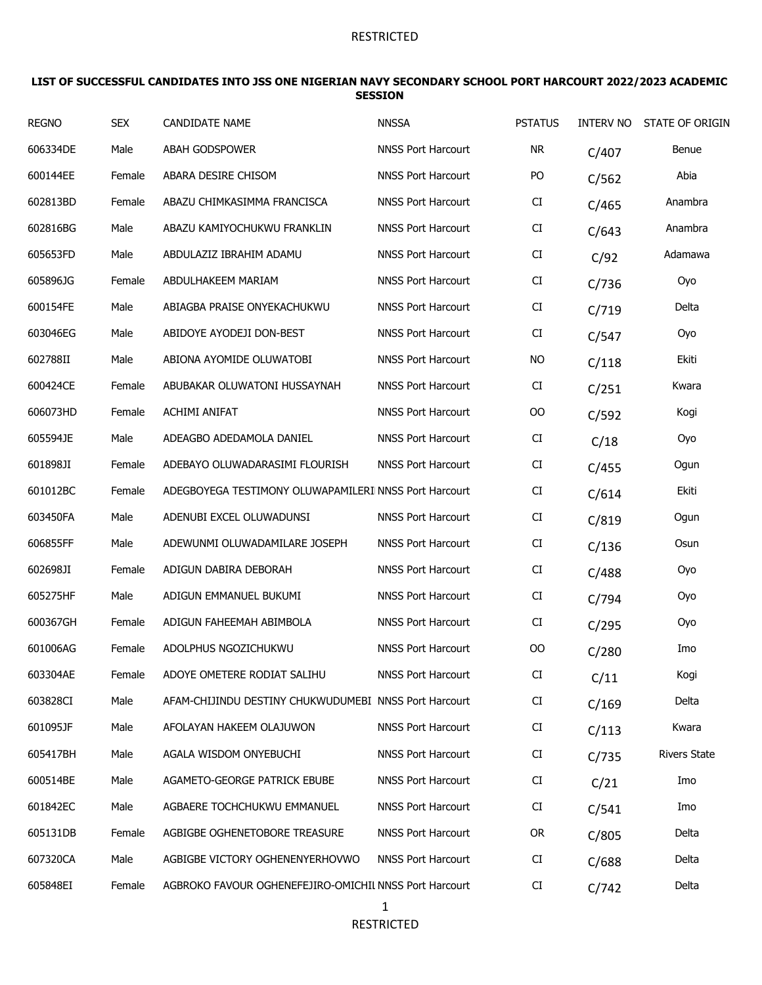#### **LIST OF SUCCESSFUL CANDIDATES INTO JSS ONE NIGERIAN NAVY SECONDARY SCHOOL PORT HARCOURT 2022/2023 ACADEMIC SESSION**

| <b>REGNO</b> | <b>SEX</b> | <b>CANDIDATE NAME</b>                                  | <b>NNSSA</b>              | <b>PSTATUS</b> | <b>INTERV NO</b> | STATE OF ORIGIN     |
|--------------|------------|--------------------------------------------------------|---------------------------|----------------|------------------|---------------------|
| 606334DE     | Male       | <b>ABAH GODSPOWER</b>                                  | <b>NNSS Port Harcourt</b> | <b>NR</b>      | C/407            | Benue               |
| 600144EE     | Female     | ABARA DESIRE CHISOM                                    | <b>NNSS Port Harcourt</b> | PO             | C/562            | Abia                |
| 602813BD     | Female     | ABAZU CHIMKASIMMA FRANCISCA                            | <b>NNSS Port Harcourt</b> | CI             | C/465            | Anambra             |
| 602816BG     | Male       | ABAZU KAMIYOCHUKWU FRANKLIN                            | <b>NNSS Port Harcourt</b> | CI             | C/643            | Anambra             |
| 605653FD     | Male       | ABDULAZIZ IBRAHIM ADAMU                                | <b>NNSS Port Harcourt</b> | CI             | C/92             | Adamawa             |
| 605896JG     | Female     | ABDULHAKEEM MARIAM                                     | <b>NNSS Port Harcourt</b> | CI             | C/736            | Oyo                 |
| 600154FE     | Male       | ABIAGBA PRAISE ONYEKACHUKWU                            | <b>NNSS Port Harcourt</b> | CI             | C/719            | Delta               |
| 603046EG     | Male       | ABIDOYE AYODEJI DON-BEST                               | <b>NNSS Port Harcourt</b> | CI             | C/547            | Oyo                 |
| 602788II     | Male       | ABIONA AYOMIDE OLUWATOBI                               | <b>NNSS Port Harcourt</b> | <b>NO</b>      | C/118            | Ekiti               |
| 600424CE     | Female     | ABUBAKAR OLUWATONI HUSSAYNAH                           | <b>NNSS Port Harcourt</b> | CI             | C/251            | Kwara               |
| 606073HD     | Female     | <b>ACHIMI ANIFAT</b>                                   | <b>NNSS Port Harcourt</b> | 00             | C/592            | Kogi                |
| 605594JE     | Male       | ADEAGBO ADEDAMOLA DANIEL                               | <b>NNSS Port Harcourt</b> | CI             | C/18             | Oyo                 |
| 601898JI     | Female     | ADEBAYO OLUWADARASIMI FLOURISH                         | <b>NNSS Port Harcourt</b> | CI             | C/455            | Ogun                |
| 601012BC     | Female     | ADEGBOYEGA TESTIMONY OLUWAPAMILERI NNSS Port Harcourt  |                           | CI             | C/614            | Ekiti               |
| 603450FA     | Male       | ADENUBI EXCEL OLUWADUNSI                               | <b>NNSS Port Harcourt</b> | CI             | C/819            | Ogun                |
| 606855FF     | Male       | ADEWUNMI OLUWADAMILARE JOSEPH                          | <b>NNSS Port Harcourt</b> | CI             | C/136            | Osun                |
| 602698JI     | Female     | ADIGUN DABIRA DEBORAH                                  | <b>NNSS Port Harcourt</b> | CI             | C/488            | Oyo                 |
| 605275HF     | Male       | ADIGUN EMMANUEL BUKUMI                                 | <b>NNSS Port Harcourt</b> | CI             | C/794            | Oyo                 |
| 600367GH     | Female     | ADIGUN FAHEEMAH ABIMBOLA                               | <b>NNSS Port Harcourt</b> | CI             | C/295            | Oyo                 |
| 601006AG     | Female     | ADOLPHUS NGOZICHUKWU                                   | <b>NNSS Port Harcourt</b> | 00             | C/280            | Imo                 |
| 603304AE     | Female     | ADOYE OMETERE RODIAT SALIHU                            | <b>NNSS Port Harcourt</b> | CI             | C/11             | Kogi                |
| 603828CI     | Male       | AFAM-CHIJINDU DESTINY CHUKWUDUMEBI NNSS Port Harcourt  |                           | CI             | C/169            | Delta               |
| 601095JF     | Male       | AFOLAYAN HAKEEM OLAJUWON                               | <b>NNSS Port Harcourt</b> | CI             | C/113            | Kwara               |
| 605417BH     | Male       | AGALA WISDOM ONYEBUCHI                                 | <b>NNSS Port Harcourt</b> | CI             | C/735            | <b>Rivers State</b> |
| 600514BE     | Male       | AGAMETO-GEORGE PATRICK EBUBE                           | <b>NNSS Port Harcourt</b> | CI             | C/21             | Imo                 |
| 601842EC     | Male       | AGBAERE TOCHCHUKWU EMMANUEL                            | <b>NNSS Port Harcourt</b> | CI             | C/541            | Imo                 |
| 605131DB     | Female     | AGBIGBE OGHENETOBORE TREASURE                          | <b>NNSS Port Harcourt</b> | <b>OR</b>      | C/805            | Delta               |
| 607320CA     | Male       | AGBIGBE VICTORY OGHENENYERHOVWO                        | <b>NNSS Port Harcourt</b> | CI             | C/688            | Delta               |
| 605848EI     | Female     | AGBROKO FAVOUR OGHENEFEJIRO-OMICHIL NNSS Port Harcourt |                           | CI             | C/742            | Delta               |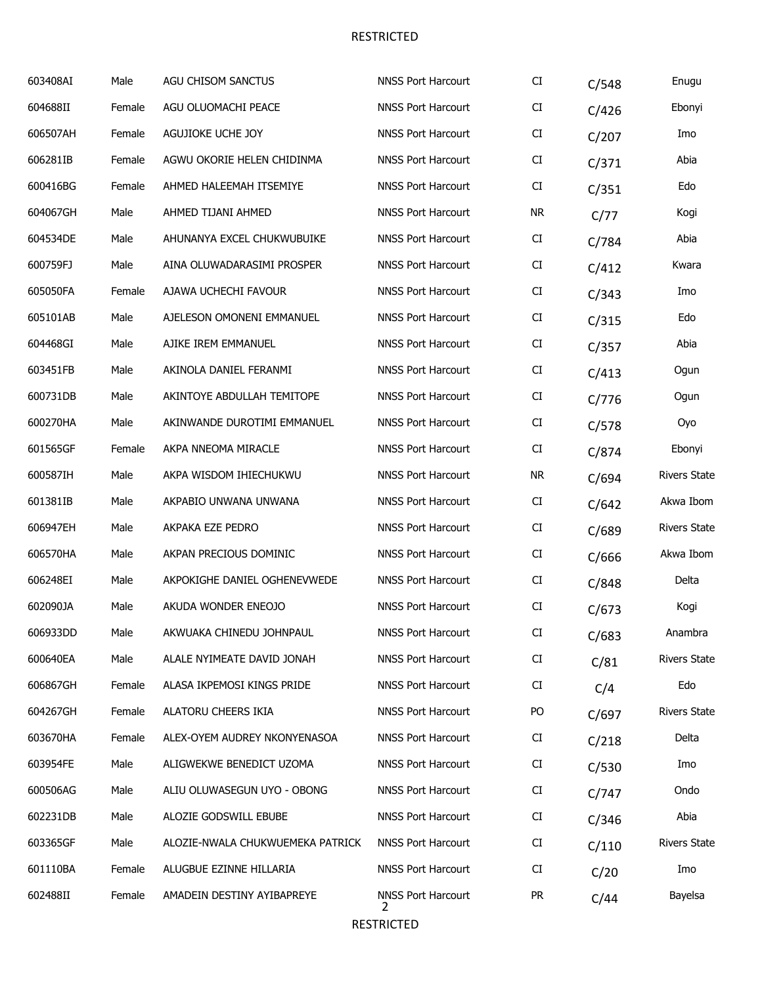| 603408AI | Male   | <b>AGU CHISOM SANCTUS</b>        | <b>NNSS Port Harcourt</b>      | CI        | C/548 | Enugu               |
|----------|--------|----------------------------------|--------------------------------|-----------|-------|---------------------|
| 604688II | Female | AGU OLUOMACHI PEACE              | <b>NNSS Port Harcourt</b>      | CI        | C/426 | Ebonyi              |
| 606507AH | Female | AGUJIOKE UCHE JOY                | <b>NNSS Port Harcourt</b>      | CI        | C/207 | Imo                 |
| 606281IB | Female | AGWU OKORIE HELEN CHIDINMA       | <b>NNSS Port Harcourt</b>      | CI        | C/371 | Abia                |
| 600416BG | Female | AHMED HALEEMAH ITSEMIYE          | <b>NNSS Port Harcourt</b>      | CI        | C/351 | Edo                 |
| 604067GH | Male   | AHMED TIJANI AHMED               | <b>NNSS Port Harcourt</b>      | <b>NR</b> | C/77  | Kogi                |
| 604534DE | Male   | AHUNANYA EXCEL CHUKWUBUIKE       | <b>NNSS Port Harcourt</b>      | CI        | C/784 | Abia                |
| 600759FJ | Male   | AINA OLUWADARASIMI PROSPER       | <b>NNSS Port Harcourt</b>      | CI        | C/412 | Kwara               |
| 605050FA | Female | AJAWA UCHECHI FAVOUR             | <b>NNSS Port Harcourt</b>      | CI        | C/343 | Imo                 |
| 605101AB | Male   | AJELESON OMONENI EMMANUEL        | <b>NNSS Port Harcourt</b>      | CI        | C/315 | Edo                 |
| 604468GI | Male   | AJIKE IREM EMMANUEL              | <b>NNSS Port Harcourt</b>      | CI        | C/357 | Abia                |
| 603451FB | Male   | AKINOLA DANIEL FERANMI           | <b>NNSS Port Harcourt</b>      | CI        | C/413 | Ogun                |
| 600731DB | Male   | AKINTOYE ABDULLAH TEMITOPE       | <b>NNSS Port Harcourt</b>      | CI        | C/776 | Ogun                |
| 600270HA | Male   | AKINWANDE DUROTIMI EMMANUEL      | <b>NNSS Port Harcourt</b>      | CI        | C/578 | Oyo                 |
| 601565GF | Female | AKPA NNEOMA MIRACLE              | <b>NNSS Port Harcourt</b>      | CI        | C/874 | Ebonyi              |
| 600587IH | Male   | AKPA WISDOM IHIECHUKWU           | <b>NNSS Port Harcourt</b>      | <b>NR</b> | C/694 | <b>Rivers State</b> |
| 601381IB | Male   | AKPABIO UNWANA UNWANA            | <b>NNSS Port Harcourt</b>      | CI        | C/642 | Akwa Ibom           |
| 606947EH | Male   | AKPAKA EZE PEDRO                 | <b>NNSS Port Harcourt</b>      | CI        | C/689 | <b>Rivers State</b> |
| 606570HA | Male   | AKPAN PRECIOUS DOMINIC           | <b>NNSS Port Harcourt</b>      | CI        | C/666 | Akwa Ibom           |
| 606248EI | Male   | AKPOKIGHE DANIEL OGHENEVWEDE     | <b>NNSS Port Harcourt</b>      | CI        | C/848 | Delta               |
| 602090JA | Male   | AKUDA WONDER ENEOJO              | <b>NNSS Port Harcourt</b>      | CI        | C/673 | Kogi                |
| 606933DD | Male   | AKWUAKA CHINEDU JOHNPAUL         | <b>NNSS Port Harcourt</b>      | CI        | C/683 | Anambra             |
| 600640EA | Male   | ALALE NYIMEATE DAVID JONAH       | <b>NNSS Port Harcourt</b>      | CI        | C/81  | <b>Rivers State</b> |
| 606867GH | Female | ALASA IKPEMOSI KINGS PRIDE       | <b>NNSS Port Harcourt</b>      | CI        | C/4   | Edo                 |
| 604267GH | Female | ALATORU CHEERS IKIA              | <b>NNSS Port Harcourt</b>      | PO        | C/697 | <b>Rivers State</b> |
| 603670HA | Female | ALEX-OYEM AUDREY NKONYENASOA     | <b>NNSS Port Harcourt</b>      | CI        | C/218 | Delta               |
| 603954FE | Male   | ALIGWEKWE BENEDICT UZOMA         | <b>NNSS Port Harcourt</b>      | CI        | C/530 | Imo                 |
| 600506AG | Male   | ALIU OLUWASEGUN UYO - OBONG      | <b>NNSS Port Harcourt</b>      | CI        | C/747 | Ondo                |
| 602231DB | Male   | ALOZIE GODSWILL EBUBE            | <b>NNSS Port Harcourt</b>      | CI        | C/346 | Abia                |
| 603365GF | Male   | ALOZIE-NWALA CHUKWUEMEKA PATRICK | <b>NNSS Port Harcourt</b>      | CI        | C/110 | <b>Rivers State</b> |
| 601110BA | Female | ALUGBUE EZINNE HILLARIA          | <b>NNSS Port Harcourt</b>      | CI        | C/20  | Imo                 |
| 602488II | Female | AMADEIN DESTINY AYIBAPREYE       | <b>NNSS Port Harcourt</b><br>2 | <b>PR</b> | C/44  | Bayelsa             |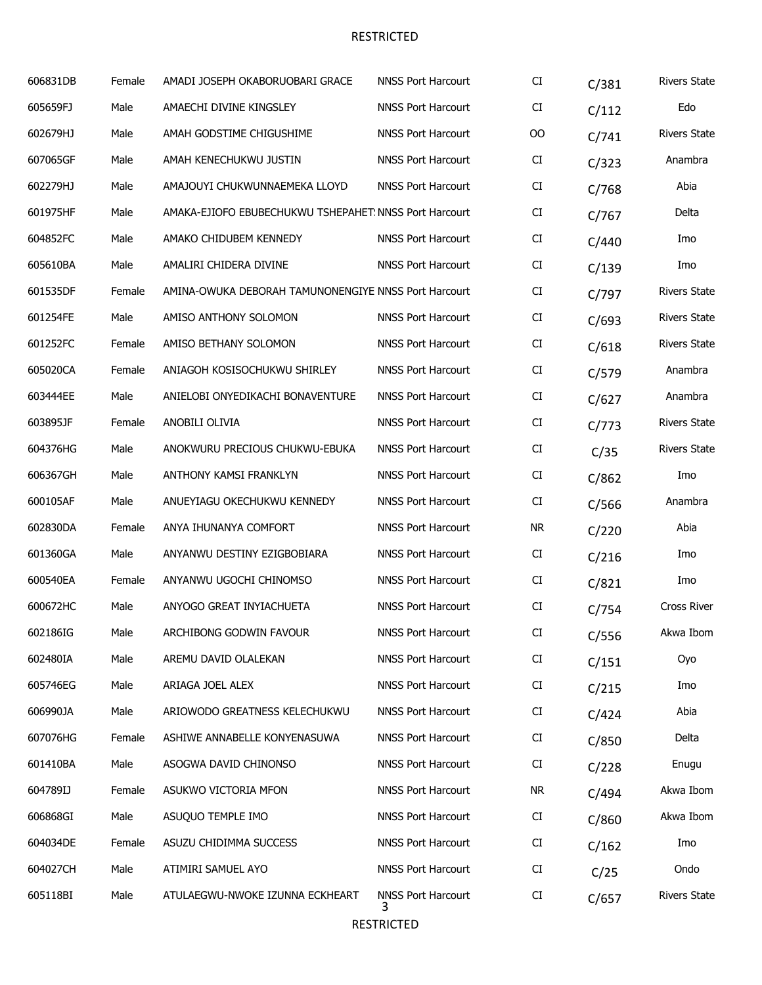| 606831DB | Female | AMADI JOSEPH OKABORUOBARI GRACE                        | <b>NNSS Port Harcourt</b>      | CI        | C/381 | <b>Rivers State</b> |
|----------|--------|--------------------------------------------------------|--------------------------------|-----------|-------|---------------------|
| 605659FJ | Male   | AMAECHI DIVINE KINGSLEY                                | <b>NNSS Port Harcourt</b>      | CI        | C/112 | Edo                 |
| 602679HJ | Male   | AMAH GODSTIME CHIGUSHIME                               | <b>NNSS Port Harcourt</b>      | 00        | C/741 | <b>Rivers State</b> |
| 607065GF | Male   | AMAH KENECHUKWU JUSTIN                                 | <b>NNSS Port Harcourt</b>      | CI        | C/323 | Anambra             |
| 602279HJ | Male   | AMAJOUYI CHUKWUNNAEMEKA LLOYD                          | <b>NNSS Port Harcourt</b>      | CI        | C/768 | Abia                |
| 601975HF | Male   | AMAKA-EJIOFO EBUBECHUKWU TSHEPAHET: NNSS Port Harcourt |                                | CI        | C/767 | Delta               |
| 604852FC | Male   | AMAKO CHIDUBEM KENNEDY                                 | <b>NNSS Port Harcourt</b>      | CI        | C/440 | Imo                 |
| 605610BA | Male   | AMALIRI CHIDERA DIVINE                                 | <b>NNSS Port Harcourt</b>      | CI        | C/139 | Imo                 |
| 601535DF | Female | AMINA-OWUKA DEBORAH TAMUNONENGIYE NNSS Port Harcourt   |                                | CI        | C/797 | <b>Rivers State</b> |
| 601254FE | Male   | AMISO ANTHONY SOLOMON                                  | <b>NNSS Port Harcourt</b>      | CI        | C/693 | <b>Rivers State</b> |
| 601252FC | Female | AMISO BETHANY SOLOMON                                  | <b>NNSS Port Harcourt</b>      | CI        | C/618 | <b>Rivers State</b> |
| 605020CA | Female | ANIAGOH KOSISOCHUKWU SHIRLEY                           | <b>NNSS Port Harcourt</b>      | CI        | C/579 | Anambra             |
| 603444EE | Male   | ANIELOBI ONYEDIKACHI BONAVENTURE                       | <b>NNSS Port Harcourt</b>      | CI        | C/627 | Anambra             |
| 603895JF | Female | ANOBILI OLIVIA                                         | <b>NNSS Port Harcourt</b>      | CI        | C/773 | <b>Rivers State</b> |
| 604376HG | Male   | ANOKWURU PRECIOUS CHUKWU-EBUKA                         | <b>NNSS Port Harcourt</b>      | CI        | C/35  | <b>Rivers State</b> |
| 606367GH | Male   | ANTHONY KAMSI FRANKLYN                                 | <b>NNSS Port Harcourt</b>      | CI        | C/862 | Imo                 |
| 600105AF | Male   | ANUEYIAGU OKECHUKWU KENNEDY                            | <b>NNSS Port Harcourt</b>      | CI        | C/566 | Anambra             |
| 602830DA | Female | ANYA IHUNANYA COMFORT                                  | <b>NNSS Port Harcourt</b>      | <b>NR</b> | C/220 | Abia                |
| 601360GA | Male   | ANYANWU DESTINY EZIGBOBIARA                            | <b>NNSS Port Harcourt</b>      | CI        | C/216 | Imo                 |
| 600540EA | Female | ANYANWU UGOCHI CHINOMSO                                | <b>NNSS Port Harcourt</b>      | CI        | C/821 | Imo                 |
| 600672HC | Male   | ANYOGO GREAT INYIACHUETA                               | <b>NNSS Port Harcourt</b>      | CI        | C/754 | Cross River         |
| 602186IG | Male   | ARCHIBONG GODWIN FAVOUR                                | <b>NNSS Port Harcourt</b>      | CI        | C/556 | Akwa Ibom           |
| 602480IA | Male   | AREMU DAVID OLALEKAN                                   | <b>NNSS Port Harcourt</b>      | CI        | C/151 | Oyo                 |
| 605746EG | Male   | ARIAGA JOEL ALEX                                       | NNSS Port Harcourt             | CI        | C/215 | Imo                 |
| 606990JA | Male   | ARIOWODO GREATNESS KELECHUKWU                          | <b>NNSS Port Harcourt</b>      | CI        | C/424 | Abia                |
| 607076HG | Female | ASHIWE ANNABELLE KONYENASUWA                           | <b>NNSS Port Harcourt</b>      | CI        | C/850 | Delta               |
| 601410BA | Male   | ASOGWA DAVID CHINONSO                                  | <b>NNSS Port Harcourt</b>      | CI        | C/228 | Enugu               |
| 604789IJ | Female | ASUKWO VICTORIA MFON                                   | <b>NNSS Port Harcourt</b>      | NR.       | C/494 | Akwa Ibom           |
| 606868GI | Male   | ASUQUO TEMPLE IMO                                      | <b>NNSS Port Harcourt</b>      | CI        | C/860 | Akwa Ibom           |
| 604034DE | Female | ASUZU CHIDIMMA SUCCESS                                 | <b>NNSS Port Harcourt</b>      | CI        | C/162 | Imo                 |
| 604027CH | Male   | ATIMIRI SAMUEL AYO                                     | <b>NNSS Port Harcourt</b>      | CI        | C/25  | Ondo                |
| 605118BI | Male   | ATULAEGWU-NWOKE IZUNNA ECKHEART                        | <b>NNSS Port Harcourt</b><br>3 | CI        | C/657 | <b>Rivers State</b> |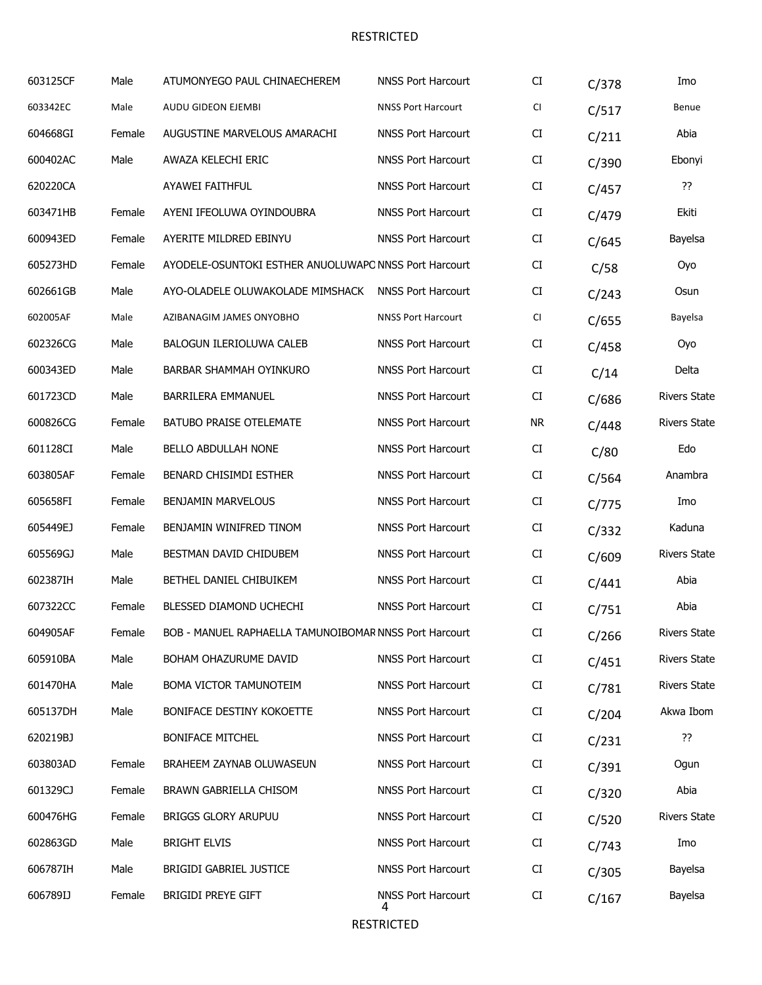| 603125CF | Male   | ATUMONYEGO PAUL CHINAECHEREM                           | <b>NNSS Port Harcourt</b>      | CI         | C/378 | Imo                 |
|----------|--------|--------------------------------------------------------|--------------------------------|------------|-------|---------------------|
| 603342EC | Male   | AUDU GIDEON EJEMBI                                     | <b>NNSS Port Harcourt</b>      | CI         | C/517 | Benue               |
| 604668GI | Female | AUGUSTINE MARVELOUS AMARACHI                           | <b>NNSS Port Harcourt</b>      | CI         | C/211 | Abia                |
| 600402AC | Male   | AWAZA KELECHI ERIC                                     | <b>NNSS Port Harcourt</b>      | CI         | C/390 | Ebonyi              |
| 620220CA |        | AYAWEI FAITHFUL                                        | <b>NNSS Port Harcourt</b>      | CI         | C/457 | ??                  |
| 603471HB | Female | AYENI IFEOLUWA OYINDOUBRA                              | <b>NNSS Port Harcourt</b>      | CI         | C/479 | Ekiti               |
| 600943ED | Female | AYERITE MILDRED EBINYU                                 | <b>NNSS Port Harcourt</b>      | CI         | C/645 | Bayelsa             |
| 605273HD | Female | AYODELE-OSUNTOKI ESTHER ANUOLUWAPO NNSS Port Harcourt  |                                | CI         | C/58  | Oyo                 |
| 602661GB | Male   | AYO-OLADELE OLUWAKOLADE MIMSHACK                       | <b>NNSS Port Harcourt</b>      | CI         | C/243 | Osun                |
| 602005AF | Male   | AZIBANAGIM JAMES ONYOBHO                               | <b>NNSS Port Harcourt</b>      | CI         | C/655 | Bayelsa             |
| 602326CG | Male   | BALOGUN ILERIOLUWA CALEB                               | NNSS Port Harcourt             | CI         | C/458 | Oyo                 |
| 600343ED | Male   | <b>BARBAR SHAMMAH OYINKURO</b>                         | <b>NNSS Port Harcourt</b>      | CI         | C/14  | Delta               |
| 601723CD | Male   | <b>BARRILERA EMMANUEL</b>                              | <b>NNSS Port Harcourt</b>      | CI         | C/686 | <b>Rivers State</b> |
| 600826CG | Female | <b>BATUBO PRAISE OTELEMATE</b>                         | <b>NNSS Port Harcourt</b>      | <b>NR</b>  | C/448 | <b>Rivers State</b> |
| 601128CI | Male   | BELLO ABDULLAH NONE                                    | <b>NNSS Port Harcourt</b>      | CI         | C/80  | Edo                 |
| 603805AF | Female | BENARD CHISIMDI ESTHER                                 | <b>NNSS Port Harcourt</b>      | CI         | C/564 | Anambra             |
| 605658FI | Female | <b>BENJAMIN MARVELOUS</b>                              | <b>NNSS Port Harcourt</b>      | CI         | C/775 | Imo                 |
| 605449EJ | Female | BENJAMIN WINIFRED TINOM                                | <b>NNSS Port Harcourt</b>      | CI         | C/332 | Kaduna              |
| 605569GJ | Male   | BESTMAN DAVID CHIDUBEM                                 | <b>NNSS Port Harcourt</b>      | CI         | C/609 | <b>Rivers State</b> |
| 602387IH | Male   | BETHEL DANIEL CHIBUIKEM                                | <b>NNSS Port Harcourt</b>      | CI         | C/441 | Abia                |
| 607322CC | Female | BLESSED DIAMOND UCHECHI                                | <b>NNSS Port Harcourt</b>      | CI         | C/751 | Abia                |
| 604905AF | Female | BOB - MANUEL RAPHAELLA TAMUNOIBOMAR NNSS Port Harcourt |                                | CI         | C/266 | <b>Rivers State</b> |
| 605910BA | Male   | BOHAM OHAZURUME DAVID                                  | <b>NNSS Port Harcourt</b>      | ${\rm CI}$ | C/451 | <b>Rivers State</b> |
| 601470HA | Male   | BOMA VICTOR TAMUNOTEIM                                 | <b>NNSS Port Harcourt</b>      | CI         | C/781 | <b>Rivers State</b> |
| 605137DH | Male   | BONIFACE DESTINY KOKOETTE                              | <b>NNSS Port Harcourt</b>      | CI         | C/204 | Akwa Ibom           |
| 620219BJ |        | <b>BONIFACE MITCHEL</b>                                | <b>NNSS Port Harcourt</b>      | CI         | C/231 | ??                  |
| 603803AD | Female | BRAHEEM ZAYNAB OLUWASEUN                               | <b>NNSS Port Harcourt</b>      | CI         | C/391 | Ogun                |
| 601329CJ | Female | BRAWN GABRIELLA CHISOM                                 | <b>NNSS Port Harcourt</b>      | CI         | C/320 | Abia                |
| 600476HG | Female | <b>BRIGGS GLORY ARUPUU</b>                             | <b>NNSS Port Harcourt</b>      | CI         | C/520 | <b>Rivers State</b> |
| 602863GD | Male   | <b>BRIGHT ELVIS</b>                                    | <b>NNSS Port Harcourt</b>      | CI         | C/743 | Imo                 |
| 606787IH | Male   | <b>BRIGIDI GABRIEL JUSTICE</b>                         | <b>NNSS Port Harcourt</b>      | CI         | C/305 | Bayelsa             |
| 606789IJ | Female | <b>BRIGIDI PREYE GIFT</b>                              | <b>NNSS Port Harcourt</b><br>4 | CI         | C/167 | Bayelsa             |
|          |        |                                                        |                                |            |       |                     |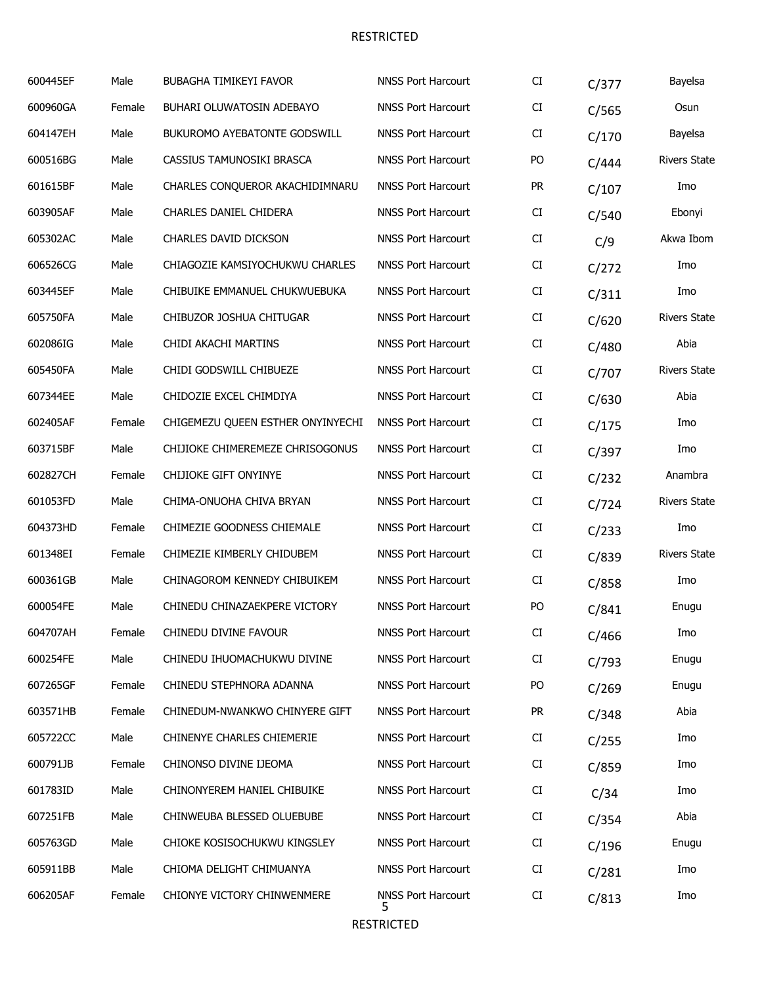| 600445EF | Male   | <b>BUBAGHA TIMIKEYI FAVOR</b>     | <b>NNSS Port Harcourt</b>      | CI        | C/377 | Bayelsa             |
|----------|--------|-----------------------------------|--------------------------------|-----------|-------|---------------------|
| 600960GA | Female | BUHARI OLUWATOSIN ADEBAYO         | <b>NNSS Port Harcourt</b>      | CI        | C/565 | Osun                |
| 604147EH | Male   | BUKUROMO AYEBATONTE GODSWILL      | <b>NNSS Port Harcourt</b>      | CI        | C/170 | Bayelsa             |
| 600516BG | Male   | CASSIUS TAMUNOSIKI BRASCA         | <b>NNSS Port Harcourt</b>      | PO        | C/444 | <b>Rivers State</b> |
| 601615BF | Male   | CHARLES CONQUEROR AKACHIDIMNARU   | <b>NNSS Port Harcourt</b>      | <b>PR</b> | C/107 | Imo                 |
| 603905AF | Male   | CHARLES DANIEL CHIDERA            | <b>NNSS Port Harcourt</b>      | CI        | C/540 | Ebonyi              |
| 605302AC | Male   | CHARLES DAVID DICKSON             | <b>NNSS Port Harcourt</b>      | CI        | C/9   | Akwa Ibom           |
| 606526CG | Male   | CHIAGOZIE KAMSIYOCHUKWU CHARLES   | <b>NNSS Port Harcourt</b>      | CI        | C/272 | Imo                 |
| 603445EF | Male   | CHIBUIKE EMMANUEL CHUKWUEBUKA     | <b>NNSS Port Harcourt</b>      | CI        | C/311 | Imo                 |
| 605750FA | Male   | CHIBUZOR JOSHUA CHITUGAR          | <b>NNSS Port Harcourt</b>      | CI        | C/620 | <b>Rivers State</b> |
| 602086IG | Male   | CHIDI AKACHI MARTINS              | <b>NNSS Port Harcourt</b>      | CI        | C/480 | Abia                |
| 605450FA | Male   | CHIDI GODSWILL CHIBUEZE           | <b>NNSS Port Harcourt</b>      | CI        | C/707 | <b>Rivers State</b> |
| 607344EE | Male   | CHIDOZIE EXCEL CHIMDIYA           | <b>NNSS Port Harcourt</b>      | CI        | C/630 | Abia                |
| 602405AF | Female | CHIGEMEZU QUEEN ESTHER ONYINYECHI | <b>NNSS Port Harcourt</b>      | CI        | C/175 | Imo                 |
| 603715BF | Male   | CHIJIOKE CHIMEREMEZE CHRISOGONUS  | <b>NNSS Port Harcourt</b>      | CI        | C/397 | Imo                 |
| 602827CH | Female | CHIJIOKE GIFT ONYINYE             | <b>NNSS Port Harcourt</b>      | CI        | C/232 | Anambra             |
| 601053FD | Male   | CHIMA-ONUOHA CHIVA BRYAN          | <b>NNSS Port Harcourt</b>      | CI        | C/724 | <b>Rivers State</b> |
| 604373HD | Female | CHIMEZIE GOODNESS CHIEMALE        | <b>NNSS Port Harcourt</b>      | CI        | C/233 | Imo                 |
| 601348EI | Female | CHIMEZIE KIMBERLY CHIDUBEM        | <b>NNSS Port Harcourt</b>      | CI        | C/839 | <b>Rivers State</b> |
| 600361GB | Male   | CHINAGOROM KENNEDY CHIBUIKEM      | <b>NNSS Port Harcourt</b>      | CI        | C/858 | Imo                 |
| 600054FE | Male   | CHINEDU CHINAZAEKPERE VICTORY     | <b>NNSS Port Harcourt</b>      | PO        | C/841 | Enugu               |
| 604707AH | Female | CHINEDU DIVINE FAVOUR             | <b>NNSS Port Harcourt</b>      | CI.       | C/466 | Imo                 |
| 600254FE | Male   | CHINEDU IHUOMACHUKWU DIVINE       | <b>NNSS Port Harcourt</b>      | CI        | C/793 | Enugu               |
| 607265GF | Female | CHINEDU STEPHNORA ADANNA          | <b>NNSS Port Harcourt</b>      | PO.       | C/269 | Enugu               |
| 603571HB | Female | CHINEDUM-NWANKWO CHINYERE GIFT    | <b>NNSS Port Harcourt</b>      | <b>PR</b> | C/348 | Abia                |
| 605722CC | Male   | CHINENYE CHARLES CHIEMERIE        | <b>NNSS Port Harcourt</b>      | CI        | C/255 | Imo                 |
| 600791JB | Female | CHINONSO DIVINE IJEOMA            | <b>NNSS Port Harcourt</b>      | CI        | C/859 | Imo                 |
| 601783ID | Male   | CHINONYEREM HANIEL CHIBUIKE       | <b>NNSS Port Harcourt</b>      | CI        | C/34  | Imo                 |
| 607251FB | Male   | CHINWEUBA BLESSED OLUEBUBE        | <b>NNSS Port Harcourt</b>      | CI        | C/354 | Abia                |
| 605763GD | Male   | CHIOKE KOSISOCHUKWU KINGSLEY      | <b>NNSS Port Harcourt</b>      | CI        | C/196 | Enugu               |
| 605911BB | Male   | CHIOMA DELIGHT CHIMUANYA          | <b>NNSS Port Harcourt</b>      | CI        | C/281 | Imo                 |
| 606205AF | Female | CHIONYE VICTORY CHINWENMERE       | <b>NNSS Port Harcourt</b><br>5 | CI        | C/813 | Imo                 |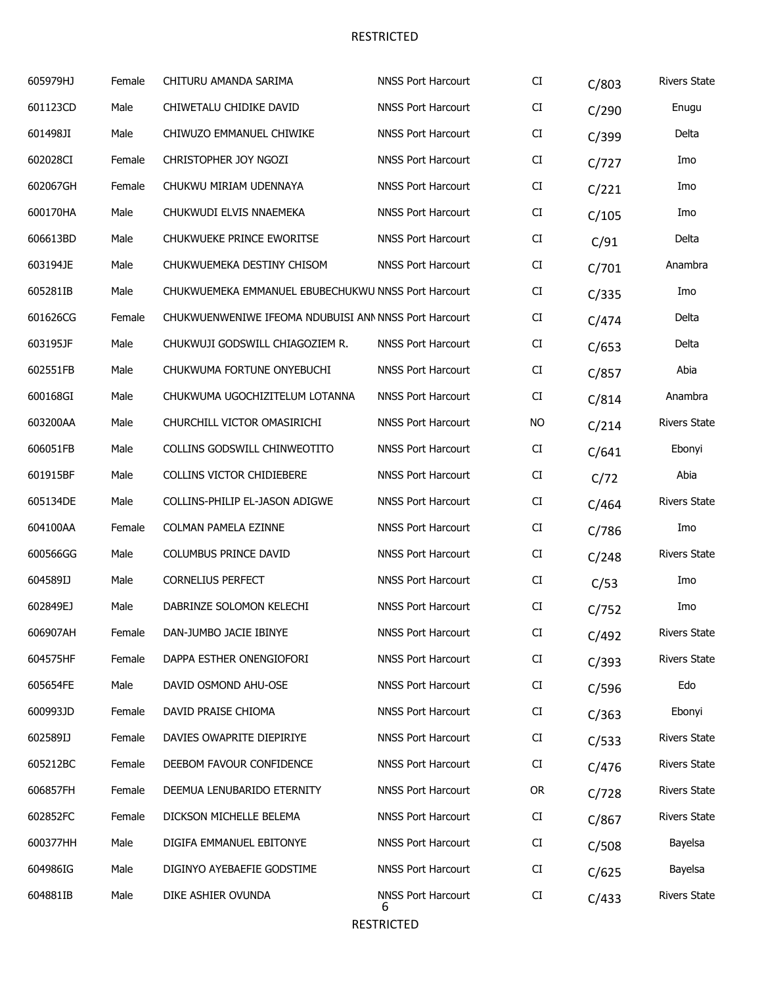| 605979HJ | Female | CHITURU AMANDA SARIMA                                 | <b>NNSS Port Harcourt</b>      | CI        | C/803 | <b>Rivers State</b> |
|----------|--------|-------------------------------------------------------|--------------------------------|-----------|-------|---------------------|
| 601123CD | Male   | CHIWETALU CHIDIKE DAVID                               | <b>NNSS Port Harcourt</b>      | CI        | C/290 | Enugu               |
| 601498JI | Male   | CHIWUZO EMMANUEL CHIWIKE                              | <b>NNSS Port Harcourt</b>      | CI        | C/399 | Delta               |
| 602028CI | Female | CHRISTOPHER JOY NGOZI                                 | <b>NNSS Port Harcourt</b>      | CI        | C/727 | Imo                 |
| 602067GH | Female | CHUKWU MIRIAM UDENNAYA                                | <b>NNSS Port Harcourt</b>      | CI        | C/221 | Imo                 |
| 600170HA | Male   | CHUKWUDI ELVIS NNAEMEKA                               | <b>NNSS Port Harcourt</b>      | CI        | C/105 | Imo                 |
| 606613BD | Male   | CHUKWUEKE PRINCE EWORITSE                             | <b>NNSS Port Harcourt</b>      | CI        | C/91  | Delta               |
| 603194JE | Male   | CHUKWUEMEKA DESTINY CHISOM                            | <b>NNSS Port Harcourt</b>      | CI        | C/701 | Anambra             |
| 605281IB | Male   | CHUKWUEMEKA EMMANUEL EBUBECHUKWU NNSS Port Harcourt   |                                | CI        | C/335 | Imo                 |
| 601626CG | Female | CHUKWUENWENIWE IFEOMA NDUBUISI ANN NNSS Port Harcourt |                                | CI        | C/474 | Delta               |
| 603195JF | Male   | CHUKWUJI GODSWILL CHIAGOZIEM R.                       | <b>NNSS Port Harcourt</b>      | CI        | C/653 | Delta               |
| 602551FB | Male   | CHUKWUMA FORTUNE ONYEBUCHI                            | <b>NNSS Port Harcourt</b>      | CI        | C/857 | Abia                |
| 600168GI | Male   | CHUKWUMA UGOCHIZITELUM LOTANNA                        | <b>NNSS Port Harcourt</b>      | CI        | C/814 | Anambra             |
| 603200AA | Male   | CHURCHILL VICTOR OMASIRICHI                           | <b>NNSS Port Harcourt</b>      | <b>NO</b> | C/214 | <b>Rivers State</b> |
| 606051FB | Male   | COLLINS GODSWILL CHINWEOTITO                          | <b>NNSS Port Harcourt</b>      | CI        | C/641 | Ebonyi              |
| 601915BF | Male   | COLLINS VICTOR CHIDIEBERE                             | <b>NNSS Port Harcourt</b>      | CI        | C/72  | Abia                |
| 605134DE | Male   | COLLINS-PHILIP EL-JASON ADIGWE                        | <b>NNSS Port Harcourt</b>      | CI        | C/464 | <b>Rivers State</b> |
| 604100AA | Female | COLMAN PAMELA EZINNE                                  | <b>NNSS Port Harcourt</b>      | CI        | C/786 | Imo                 |
| 600566GG | Male   | COLUMBUS PRINCE DAVID                                 | <b>NNSS Port Harcourt</b>      | CI        | C/248 | <b>Rivers State</b> |
| 604589IJ | Male   | <b>CORNELIUS PERFECT</b>                              | <b>NNSS Port Harcourt</b>      | CI        | C/53  | Imo                 |
| 602849EJ | Male   | DABRINZE SOLOMON KELECHI                              | <b>NNSS Port Harcourt</b>      | CI        | C/752 | Imo                 |
| 606907AH | Female | DAN-JUMBO JACIE IBINYE                                | <b>NNSS Port Harcourt</b>      | CI        | C/492 | <b>Rivers State</b> |
| 604575HF | Female | DAPPA ESTHER ONENGIOFORI                              | <b>NNSS Port Harcourt</b>      | CI        | C/393 | <b>Rivers State</b> |
| 605654FE | Male   | DAVID OSMOND AHU-OSE                                  | <b>NNSS Port Harcourt</b>      | CI        | C/596 | Edo                 |
| 600993JD | Female | DAVID PRAISE CHIOMA                                   | <b>NNSS Port Harcourt</b>      | CI        | C/363 | Ebonyi              |
| 602589IJ | Female | DAVIES OWAPRITE DIEPIRIYE                             | <b>NNSS Port Harcourt</b>      | CI        | C/533 | <b>Rivers State</b> |
| 605212BC | Female | DEEBOM FAVOUR CONFIDENCE                              | <b>NNSS Port Harcourt</b>      | CI        | C/476 | <b>Rivers State</b> |
| 606857FH | Female | DEEMUA LENUBARIDO ETERNITY                            | <b>NNSS Port Harcourt</b>      | <b>OR</b> | C/728 | <b>Rivers State</b> |
| 602852FC | Female | DICKSON MICHELLE BELEMA                               | <b>NNSS Port Harcourt</b>      | CI        | C/867 | <b>Rivers State</b> |
| 600377HH | Male   | DIGIFA EMMANUEL EBITONYE                              | <b>NNSS Port Harcourt</b>      | CI        | C/508 | Bayelsa             |
| 604986IG | Male   | DIGINYO AYEBAEFIE GODSTIME                            | <b>NNSS Port Harcourt</b>      | CI        | C/625 | Bayelsa             |
| 604881IB | Male   | DIKE ASHIER OVUNDA                                    | <b>NNSS Port Harcourt</b><br>ь | CI        | C/433 | <b>Rivers State</b> |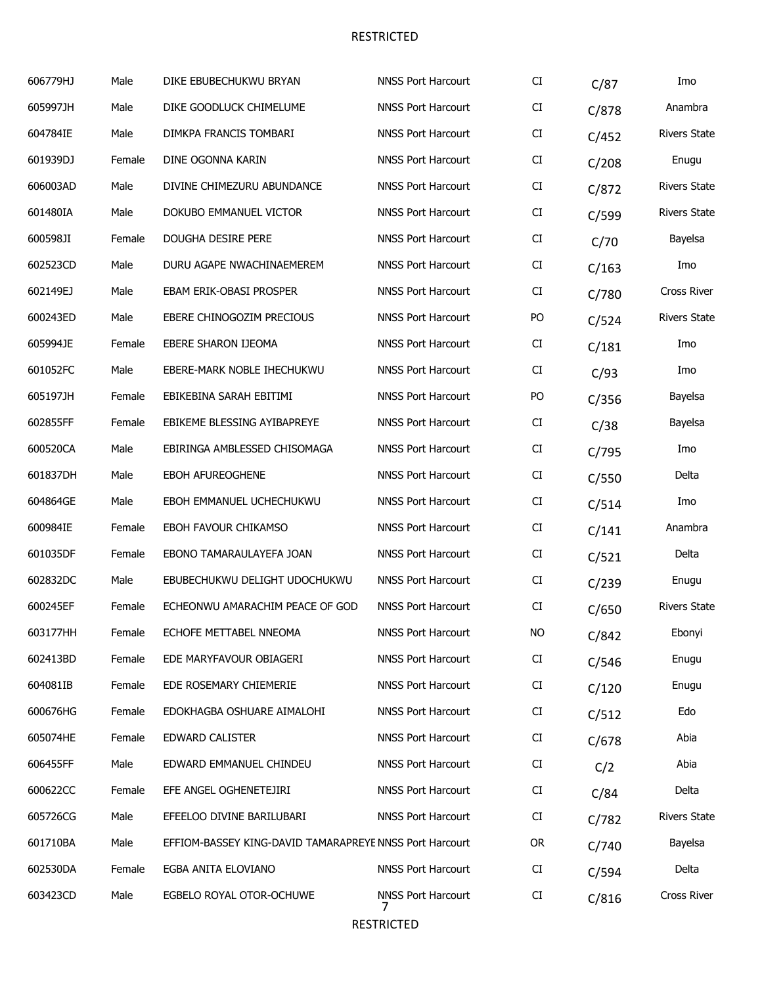| 606779HJ | Male   | DIKE EBUBECHUKWU BRYAN                                  | <b>NNSS Port Harcourt</b> | CI        | C/87  | Imo                 |
|----------|--------|---------------------------------------------------------|---------------------------|-----------|-------|---------------------|
| 605997JH | Male   | DIKE GOODLUCK CHIMELUME                                 | <b>NNSS Port Harcourt</b> | CI        | C/878 | Anambra             |
| 604784IE | Male   | DIMKPA FRANCIS TOMBARI                                  | <b>NNSS Port Harcourt</b> | CI        | C/452 | <b>Rivers State</b> |
| 601939DJ | Female | DINE OGONNA KARIN                                       | <b>NNSS Port Harcourt</b> | CI        | C/208 | Enugu               |
| 606003AD | Male   | DIVINE CHIMEZURU ABUNDANCE                              | <b>NNSS Port Harcourt</b> | CI        | C/872 | <b>Rivers State</b> |
| 601480IA | Male   | DOKUBO EMMANUEL VICTOR                                  | <b>NNSS Port Harcourt</b> | CI        | C/599 | <b>Rivers State</b> |
| 600598JI | Female | DOUGHA DESIRE PERE                                      | <b>NNSS Port Harcourt</b> | CI        | C/70  | Bayelsa             |
| 602523CD | Male   | DURU AGAPE NWACHINAEMEREM                               | <b>NNSS Port Harcourt</b> | CI        | C/163 | Imo                 |
| 602149EJ | Male   | EBAM ERIK-OBASI PROSPER                                 | <b>NNSS Port Harcourt</b> | CI        | C/780 | Cross River         |
| 600243ED | Male   | EBERE CHINOGOZIM PRECIOUS                               | <b>NNSS Port Harcourt</b> | PO        | C/524 | <b>Rivers State</b> |
| 605994JE | Female | EBERE SHARON IJEOMA                                     | <b>NNSS Port Harcourt</b> | CI        | C/181 | Imo                 |
| 601052FC | Male   | EBERE-MARK NOBLE IHECHUKWU                              | <b>NNSS Port Harcourt</b> | CI        | C/93  | Imo                 |
| 605197JH | Female | EBIKEBINA SARAH EBITIMI                                 | <b>NNSS Port Harcourt</b> | PO        | C/356 | Bayelsa             |
| 602855FF | Female | EBIKEME BLESSING AYIBAPREYE                             | <b>NNSS Port Harcourt</b> | CI        | C/38  | Bayelsa             |
| 600520CA | Male   | EBIRINGA AMBLESSED CHISOMAGA                            | <b>NNSS Port Harcourt</b> | CI        | C/795 | Imo                 |
| 601837DH | Male   | <b>EBOH AFUREOGHENE</b>                                 | <b>NNSS Port Harcourt</b> | CI        | C/550 | Delta               |
| 604864GE | Male   | EBOH EMMANUEL UCHECHUKWU                                | <b>NNSS Port Harcourt</b> | CI        | C/514 | Imo                 |
| 600984IE | Female | EBOH FAVOUR CHIKAMSO                                    | <b>NNSS Port Harcourt</b> | CI        | C/141 | Anambra             |
| 601035DF | Female | EBONO TAMARAULAYEFA JOAN                                | <b>NNSS Port Harcourt</b> | CI        | C/521 | Delta               |
| 602832DC | Male   | EBUBECHUKWU DELIGHT UDOCHUKWU                           | <b>NNSS Port Harcourt</b> | CI        | C/239 | Enugu               |
| 600245EF | Female | ECHEONWU AMARACHIM PEACE OF GOD                         | <b>NNSS Port Harcourt</b> | CI        | C/650 | <b>Rivers State</b> |
| 603177HH | Female | ECHOFE METTABEL NNEOMA                                  | <b>NNSS Port Harcourt</b> | NO.       | C/842 | Ebonyi              |
| 602413BD | Female | EDE MARYFAVOUR OBIAGERI                                 | <b>NNSS Port Harcourt</b> | CI        | C/546 | Enugu               |
| 604081IB | Female | EDE ROSEMARY CHIEMERIE                                  | <b>NNSS Port Harcourt</b> | CI        | C/120 | Enugu               |
| 600676HG | Female | EDOKHAGBA OSHUARE AIMALOHI                              | <b>NNSS Port Harcourt</b> | CI        | C/512 | Edo                 |
| 605074HE | Female | EDWARD CALISTER                                         | <b>NNSS Port Harcourt</b> | CI        | C/678 | Abia                |
| 606455FF | Male   | EDWARD EMMANUEL CHINDEU                                 | <b>NNSS Port Harcourt</b> | CI        | C/2   | Abia                |
| 600622CC | Female | EFE ANGEL OGHENETEJIRI                                  | <b>NNSS Port Harcourt</b> | CI        | C/84  | Delta               |
| 605726CG | Male   | EFEELOO DIVINE BARILUBARI                               | <b>NNSS Port Harcourt</b> | CI        | C/782 | <b>Rivers State</b> |
| 601710BA | Male   | EFFIOM-BASSEY KING-DAVID TAMARAPREYE NNSS Port Harcourt |                           | <b>OR</b> | C/740 | Bayelsa             |
| 602530DA | Female | EGBA ANITA ELOVIANO                                     | <b>NNSS Port Harcourt</b> | CI        | C/594 | Delta               |
| 603423CD | Male   | EGBELO ROYAL OTOR-OCHUWE                                | <b>NNSS Port Harcourt</b> | CI        | C/816 | Cross River         |
|          |        |                                                         |                           |           |       |                     |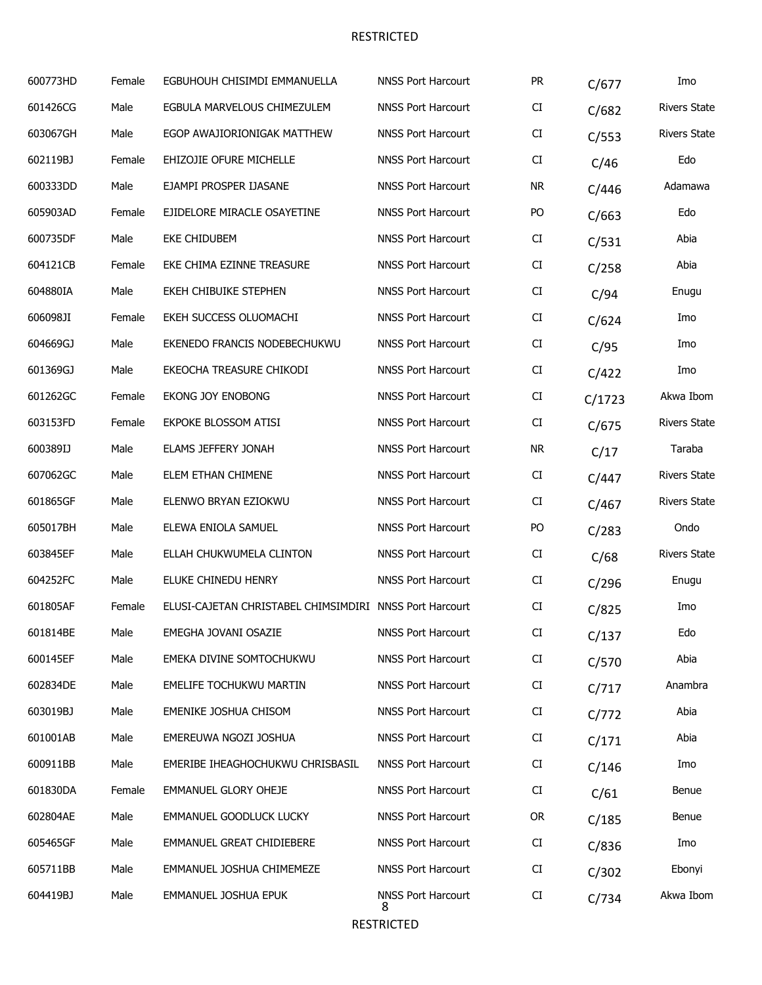| 600773HD | Female | EGBUHOUH CHISIMDI EMMANUELLA                            | <b>NNSS Port Harcourt</b>      | <b>PR</b> | C/677  | Imo                 |
|----------|--------|---------------------------------------------------------|--------------------------------|-----------|--------|---------------------|
| 601426CG | Male   | EGBULA MARVELOUS CHIMEZULEM                             | <b>NNSS Port Harcourt</b>      | CI        | C/682  | <b>Rivers State</b> |
| 603067GH | Male   | EGOP AWAJIORIONIGAK MATTHEW                             | <b>NNSS Port Harcourt</b>      | CI        | C/553  | <b>Rivers State</b> |
| 602119BJ | Female | EHIZOJIE OFURE MICHELLE                                 | <b>NNSS Port Harcourt</b>      | CI        | C/46   | Edo                 |
| 600333DD | Male   | EJAMPI PROSPER IJASANE                                  | <b>NNSS Port Harcourt</b>      | <b>NR</b> | C/446  | Adamawa             |
| 605903AD | Female | EJIDELORE MIRACLE OSAYETINE                             | <b>NNSS Port Harcourt</b>      | PO        | C/663  | Edo                 |
| 600735DF | Male   | <b>EKE CHIDUBEM</b>                                     | <b>NNSS Port Harcourt</b>      | CI        | C/531  | Abia                |
| 604121CB | Female | EKE CHIMA EZINNE TREASURE                               | <b>NNSS Port Harcourt</b>      | CI        | C/258  | Abia                |
| 604880IA | Male   | EKEH CHIBUIKE STEPHEN                                   | <b>NNSS Port Harcourt</b>      | CI        | C/94   | Enugu               |
| 606098JI | Female | EKEH SUCCESS OLUOMACHI                                  | <b>NNSS Port Harcourt</b>      | CI        | C/624  | Imo                 |
| 604669GJ | Male   | EKENEDO FRANCIS NODEBECHUKWU                            | <b>NNSS Port Harcourt</b>      | CI        | C/95   | Imo                 |
| 601369GJ | Male   | EKEOCHA TREASURE CHIKODI                                | <b>NNSS Port Harcourt</b>      | CI        | C/422  | Imo                 |
| 601262GC | Female | EKONG JOY ENOBONG                                       | <b>NNSS Port Harcourt</b>      | CI        | C/1723 | Akwa Ibom           |
| 603153FD | Female | EKPOKE BLOSSOM ATISI                                    | <b>NNSS Port Harcourt</b>      | CI        | C/675  | <b>Rivers State</b> |
| 600389IJ | Male   | ELAMS JEFFERY JONAH                                     | <b>NNSS Port Harcourt</b>      | <b>NR</b> | C/17   | Taraba              |
| 607062GC | Male   | ELEM ETHAN CHIMENE                                      | <b>NNSS Port Harcourt</b>      | CI        | C/447  | <b>Rivers State</b> |
| 601865GF | Male   | ELENWO BRYAN EZIOKWU                                    | <b>NNSS Port Harcourt</b>      | CI        | C/467  | <b>Rivers State</b> |
| 605017BH | Male   | ELEWA ENIOLA SAMUEL                                     | <b>NNSS Port Harcourt</b>      | PO        | C/283  | Ondo                |
| 603845EF | Male   | ELLAH CHUKWUMELA CLINTON                                | <b>NNSS Port Harcourt</b>      | CI        | C/68   | <b>Rivers State</b> |
| 604252FC | Male   | ELUKE CHINEDU HENRY                                     | <b>NNSS Port Harcourt</b>      | CI        | C/296  | Enugu               |
| 601805AF | Female | ELUSI-CAJETAN CHRISTABEL CHIMSIMDIRI NNSS Port Harcourt |                                | CI        | C/825  | Imo                 |
| 601814BE | Male   | EMEGHA JOVANI OSAZIE                                    | <b>NNSS Port Harcourt</b>      | CI        | C/137  | Edo                 |
| 600145EF | Male   | EMEKA DIVINE SOMTOCHUKWU                                | <b>NNSS Port Harcourt</b>      | CI        | C/570  | Abia                |
| 602834DE | Male   | EMELIFE TOCHUKWU MARTIN                                 | <b>NNSS Port Harcourt</b>      | CI        | C/717  | Anambra             |
| 603019BJ | Male   | EMENIKE JOSHUA CHISOM                                   | <b>NNSS Port Harcourt</b>      | CI        | C/772  | Abia                |
| 601001AB | Male   | EMEREUWA NGOZI JOSHUA                                   | <b>NNSS Port Harcourt</b>      | CI        | C/171  | Abia                |
| 600911BB | Male   | EMERIBE IHEAGHOCHUKWU CHRISBASIL                        | <b>NNSS Port Harcourt</b>      | CI        | C/146  | Imo                 |
| 601830DA | Female | EMMANUEL GLORY OHEJE                                    | <b>NNSS Port Harcourt</b>      | CI        | C/61   | Benue               |
| 602804AE | Male   | EMMANUEL GOODLUCK LUCKY                                 | <b>NNSS Port Harcourt</b>      | <b>OR</b> | C/185  | Benue               |
| 605465GF | Male   | EMMANUEL GREAT CHIDIEBERE                               | <b>NNSS Port Harcourt</b>      | CI        | C/836  | Imo                 |
| 605711BB | Male   | EMMANUEL JOSHUA CHIMEMEZE                               | <b>NNSS Port Harcourt</b>      | CI        | C/302  | Ebonyi              |
| 604419BJ | Male   | EMMANUEL JOSHUA EPUK                                    | <b>NNSS Port Harcourt</b><br>8 | CI        | C/734  | Akwa Ibom           |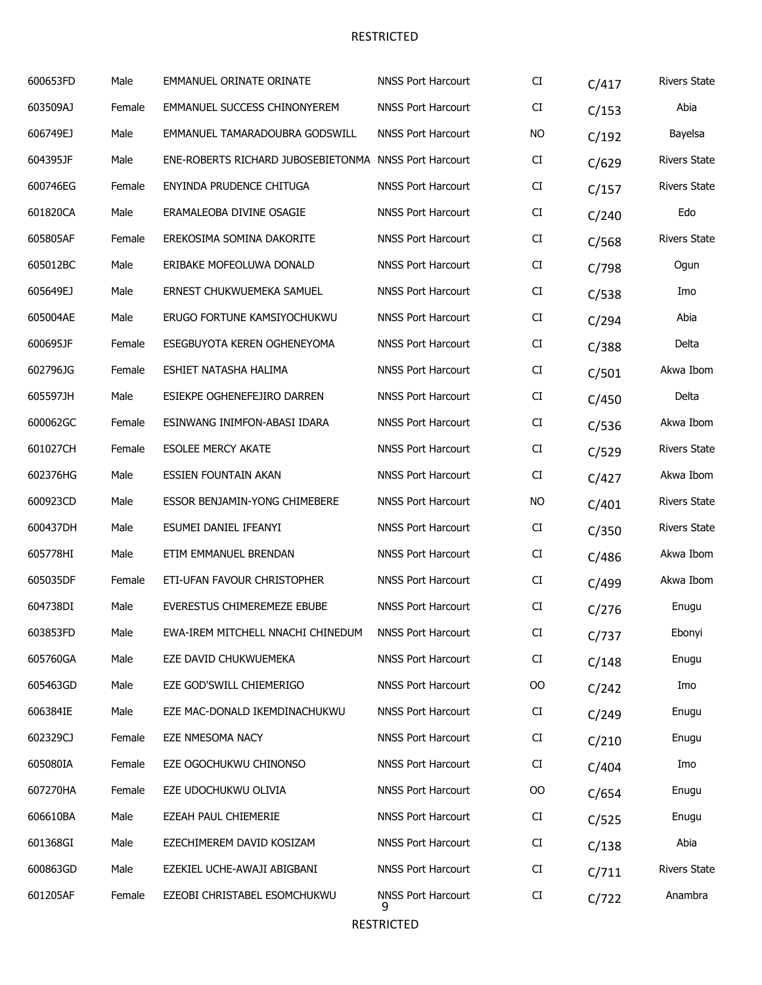| 600653FD | Male   | <b>EMMANUEL ORINATE ORINATE</b>                       | <b>NNSS Port Harcourt</b>      | CI        | C/417 | <b>Rivers State</b> |
|----------|--------|-------------------------------------------------------|--------------------------------|-----------|-------|---------------------|
| 603509AJ | Female | EMMANUEL SUCCESS CHINONYEREM                          | <b>NNSS Port Harcourt</b>      | CI        | C/153 | Abia                |
| 606749EJ | Male   | EMMANUEL TAMARADOUBRA GODSWILL                        | <b>NNSS Port Harcourt</b>      | <b>NO</b> | C/192 | Bayelsa             |
| 604395JF | Male   | ENE-ROBERTS RICHARD JUBOSEBIETONMA NNSS Port Harcourt |                                | CI        | C/629 | <b>Rivers State</b> |
| 600746EG | Female | ENYINDA PRUDENCE CHITUGA                              | <b>NNSS Port Harcourt</b>      | CI        | C/157 | <b>Rivers State</b> |
| 601820CA | Male   | ERAMALEOBA DIVINE OSAGIE                              | <b>NNSS Port Harcourt</b>      | CI        | C/240 | Edo                 |
| 605805AF | Female | EREKOSIMA SOMINA DAKORITE                             | <b>NNSS Port Harcourt</b>      | CI        | C/568 | <b>Rivers State</b> |
| 605012BC | Male   | ERIBAKE MOFEOLUWA DONALD                              | <b>NNSS Port Harcourt</b>      | CI        | C/798 | Ogun                |
| 605649EJ | Male   | ERNEST CHUKWUEMEKA SAMUEL                             | <b>NNSS Port Harcourt</b>      | CI        | C/538 | Imo                 |
| 605004AE | Male   | ERUGO FORTUNE KAMSIYOCHUKWU                           | <b>NNSS Port Harcourt</b>      | CI        | C/294 | Abia                |
| 600695JF | Female | ESEGBUYOTA KEREN OGHENEYOMA                           | <b>NNSS Port Harcourt</b>      | CI        | C/388 | Delta               |
| 602796JG | Female | ESHIET NATASHA HALIMA                                 | <b>NNSS Port Harcourt</b>      | CI        | C/501 | Akwa Ibom           |
| 605597JH | Male   | ESIEKPE OGHENEFEJIRO DARREN                           | <b>NNSS Port Harcourt</b>      | CI        | C/450 | Delta               |
| 600062GC | Female | ESINWANG INIMFON-ABASI IDARA                          | <b>NNSS Port Harcourt</b>      | CI        | C/536 | Akwa Ibom           |
| 601027CH | Female | <b>ESOLEE MERCY AKATE</b>                             | <b>NNSS Port Harcourt</b>      | CI        | C/529 | <b>Rivers State</b> |
| 602376HG | Male   | <b>ESSIEN FOUNTAIN AKAN</b>                           | <b>NNSS Port Harcourt</b>      | CI        | C/427 | Akwa Ibom           |
| 600923CD | Male   | ESSOR BENJAMIN-YONG CHIMEBERE                         | <b>NNSS Port Harcourt</b>      | NO        | C/401 | <b>Rivers State</b> |
| 600437DH | Male   | ESUMEI DANIEL IFEANYI                                 | <b>NNSS Port Harcourt</b>      | CI        | C/350 | <b>Rivers State</b> |
| 605778HI | Male   | ETIM EMMANUEL BRENDAN                                 | <b>NNSS Port Harcourt</b>      | CI        | C/486 | Akwa Ibom           |
| 605035DF | Female | ETI-UFAN FAVOUR CHRISTOPHER                           | <b>NNSS Port Harcourt</b>      | CI        | C/499 | Akwa Ibom           |
| 604738DI | Male   | EVERESTUS CHIMEREMEZE EBUBE                           | <b>NNSS Port Harcourt</b>      | CI        | C/276 | Enugu               |
| 603853FD | Male   | EWA-IREM MITCHELL NNACHI CHINEDUM                     | <b>NNSS Port Harcourt</b>      | CI        | C/737 | Ebonyi              |
| 605760GA | Male   | EZE DAVID CHUKWUEMEKA                                 | <b>NNSS Port Harcourt</b>      | CI        | C/148 | Enugu               |
| 605463GD | Male   | EZE GOD'SWILL CHIEMERIGO                              | <b>NNSS Port Harcourt</b>      | $00\,$    | C/242 | Imo                 |
| 606384IE | Male   | EZE MAC-DONALD IKEMDINACHUKWU                         | <b>NNSS Port Harcourt</b>      | CI        | C/249 | Enugu               |
| 602329CJ | Female | EZE NMESOMA NACY                                      | <b>NNSS Port Harcourt</b>      | CI        | C/210 | Enugu               |
| 605080IA | Female | EZE OGOCHUKWU CHINONSO                                | <b>NNSS Port Harcourt</b>      | CI        | C/404 | Imo                 |
| 607270HA | Female | EZE UDOCHUKWU OLIVIA                                  | <b>NNSS Port Harcourt</b>      | $00\,$    | C/654 | Enugu               |
| 606610BA | Male   | EZEAH PAUL CHIEMERIE                                  | <b>NNSS Port Harcourt</b>      | CI        | C/525 | Enugu               |
| 601368GI | Male   | EZECHIMEREM DAVID KOSIZAM                             | <b>NNSS Port Harcourt</b>      | CI        | C/138 | Abia                |
| 600863GD | Male   | EZEKIEL UCHE-AWAJI ABIGBANI                           | <b>NNSS Port Harcourt</b>      | CI        | C/711 | <b>Rivers State</b> |
| 601205AF | Female | EZEOBI CHRISTABEL ESOMCHUKWU                          | <b>NNSS Port Harcourt</b><br>9 | CI        | C/722 | Anambra             |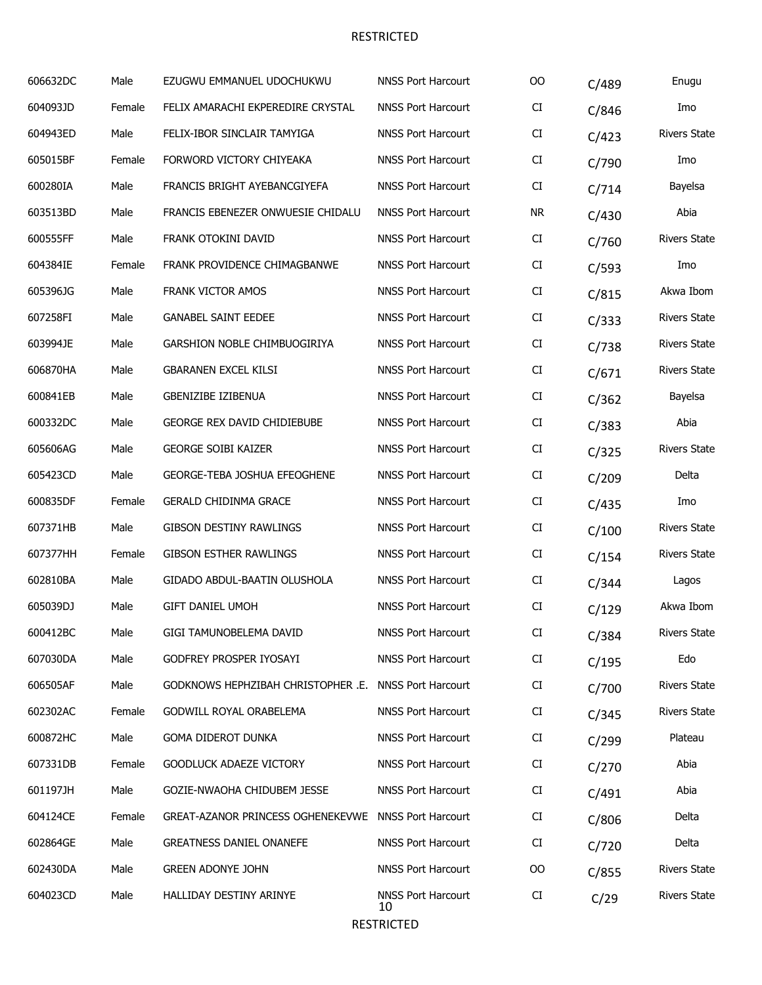| 606632DC | Male   | EZUGWU EMMANUEL UDOCHUKWU                             | <b>NNSS Port Harcourt</b>       | 00         | C/489 | Enugu               |
|----------|--------|-------------------------------------------------------|---------------------------------|------------|-------|---------------------|
| 604093JD | Female | FELIX AMARACHI EKPEREDIRE CRYSTAL                     | <b>NNSS Port Harcourt</b>       | CI         | C/846 | Imo                 |
| 604943ED | Male   | FELIX-IBOR SINCLAIR TAMYIGA                           | <b>NNSS Port Harcourt</b>       | CI         | C/423 | <b>Rivers State</b> |
| 605015BF | Female | FORWORD VICTORY CHIYEAKA                              | <b>NNSS Port Harcourt</b>       | CI         | C/790 | Imo                 |
| 600280IA | Male   | FRANCIS BRIGHT AYEBANCGIYEFA                          | <b>NNSS Port Harcourt</b>       | CI         | C/714 | Bayelsa             |
| 603513BD | Male   | FRANCIS EBENEZER ONWUESIE CHIDALU                     | <b>NNSS Port Harcourt</b>       | <b>NR</b>  | C/430 | Abia                |
| 600555FF | Male   | FRANK OTOKINI DAVID                                   | <b>NNSS Port Harcourt</b>       | CI         | C/760 | <b>Rivers State</b> |
| 604384IE | Female | FRANK PROVIDENCE CHIMAGBANWE                          | <b>NNSS Port Harcourt</b>       | CI         | C/593 | Imo                 |
| 605396JG | Male   | FRANK VICTOR AMOS                                     | <b>NNSS Port Harcourt</b>       | CI         | C/815 | Akwa Ibom           |
| 607258FI | Male   | <b>GANABEL SAINT EEDEE</b>                            | <b>NNSS Port Harcourt</b>       | CI         | C/333 | <b>Rivers State</b> |
| 603994JE | Male   | GARSHION NOBLE CHIMBUOGIRIYA                          | <b>NNSS Port Harcourt</b>       | CI         | C/738 | <b>Rivers State</b> |
| 606870HA | Male   | <b>GBARANEN EXCEL KILSI</b>                           | <b>NNSS Port Harcourt</b>       | CI         | C/671 | <b>Rivers State</b> |
| 600841EB | Male   | <b>GBENIZIBE IZIBENUA</b>                             | <b>NNSS Port Harcourt</b>       | CI         | C/362 | Bayelsa             |
| 600332DC | Male   | <b>GEORGE REX DAVID CHIDIEBUBE</b>                    | <b>NNSS Port Harcourt</b>       | CI         | C/383 | Abia                |
| 605606AG | Male   | <b>GEORGE SOIBI KAIZER</b>                            | <b>NNSS Port Harcourt</b>       | CI         | C/325 | <b>Rivers State</b> |
| 605423CD | Male   | <b>GEORGE-TEBA JOSHUA EFEOGHENE</b>                   | <b>NNSS Port Harcourt</b>       | CI         | C/209 | Delta               |
| 600835DF | Female | <b>GERALD CHIDINMA GRACE</b>                          | <b>NNSS Port Harcourt</b>       | ${\rm CI}$ | C/435 | Imo                 |
| 607371HB | Male   | <b>GIBSON DESTINY RAWLINGS</b>                        | <b>NNSS Port Harcourt</b>       | CI         | C/100 | <b>Rivers State</b> |
| 607377HH | Female | <b>GIBSON ESTHER RAWLINGS</b>                         | <b>NNSS Port Harcourt</b>       | CI         | C/154 | <b>Rivers State</b> |
| 602810BA | Male   | GIDADO ABDUL-BAATIN OLUSHOLA                          | <b>NNSS Port Harcourt</b>       | CI         | C/344 | Lagos               |
| 605039DJ | Male   | <b>GIFT DANIEL UMOH</b>                               | <b>NNSS Port Harcourt</b>       | CI         | C/129 | Akwa Ibom           |
| 600412BC | Male   | GIGI TAMUNOBELEMA DAVID                               | <b>NNSS Port Harcourt</b>       | CI.        | C/384 | Rivers State        |
| 607030DA | Male   | GODFREY PROSPER IYOSAYI                               | <b>NNSS Port Harcourt</b>       | CI         | C/195 | Edo                 |
| 606505AF | Male   | GODKNOWS HEPHZIBAH CHRISTOPHER .E. NNSS Port Harcourt |                                 | CI         | C/700 | <b>Rivers State</b> |
| 602302AC | Female | GODWILL ROYAL ORABELEMA                               | <b>NNSS Port Harcourt</b>       | CI         | C/345 | <b>Rivers State</b> |
| 600872HC | Male   | GOMA DIDEROT DUNKA                                    | <b>NNSS Port Harcourt</b>       | CI         | C/299 | Plateau             |
| 607331DB | Female | <b>GOODLUCK ADAEZE VICTORY</b>                        | <b>NNSS Port Harcourt</b>       | CI         | C/270 | Abia                |
| 601197JH | Male   | GOZIE-NWAOHA CHIDUBEM JESSE                           | <b>NNSS Port Harcourt</b>       | CI         | C/491 | Abia                |
| 604124CE | Female | GREAT-AZANOR PRINCESS OGHENEKEVWE NNSS Port Harcourt  |                                 | CI         | C/806 | Delta               |
| 602864GE | Male   | <b>GREATNESS DANIEL ONANEFE</b>                       | <b>NNSS Port Harcourt</b>       | CI         | C/720 | Delta               |
| 602430DA | Male   | <b>GREEN ADONYE JOHN</b>                              | <b>NNSS Port Harcourt</b>       | OO         | C/855 | <b>Rivers State</b> |
| 604023CD | Male   | HALLIDAY DESTINY ARINYE                               | <b>NNSS Port Harcourt</b><br>10 | CI         | C/29  | <b>Rivers State</b> |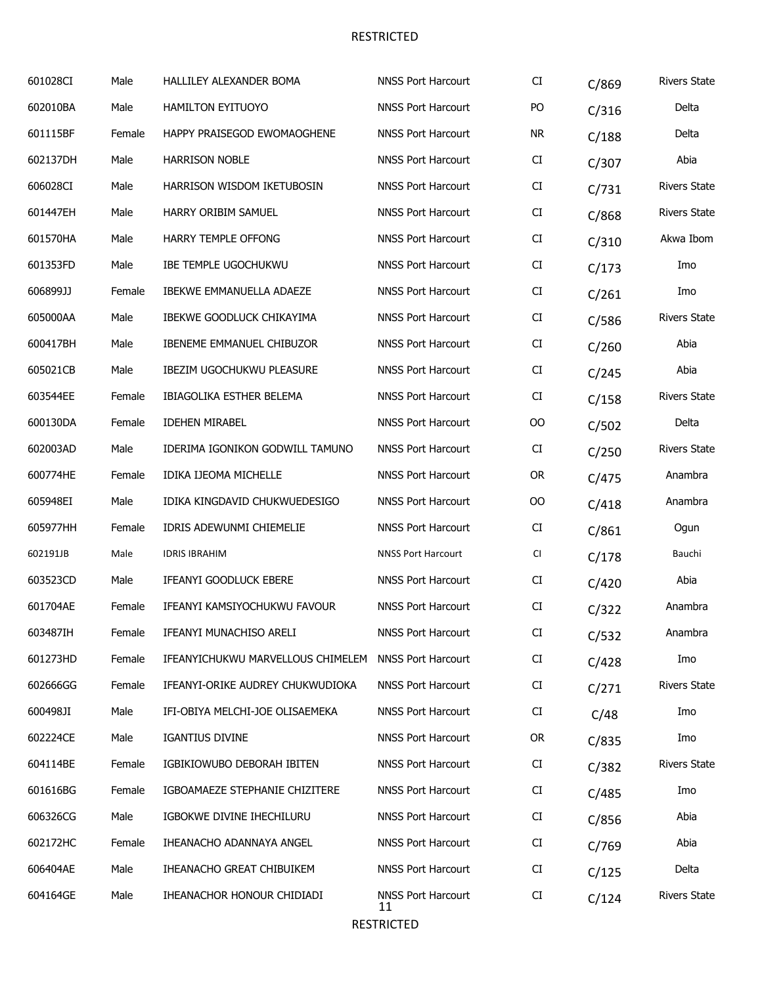| 601028CI | Male   | HALLILEY ALEXANDER BOMA           | <b>NNSS Port Harcourt</b>       | CI        | C/869 | <b>Rivers State</b> |
|----------|--------|-----------------------------------|---------------------------------|-----------|-------|---------------------|
| 602010BA | Male   | HAMILTON EYITUOYO                 | <b>NNSS Port Harcourt</b>       | PO        | C/316 | Delta               |
| 601115BF | Female | HAPPY PRAISEGOD EWOMAOGHENE       | <b>NNSS Port Harcourt</b>       | <b>NR</b> | C/188 | Delta               |
| 602137DH | Male   | <b>HARRISON NOBLE</b>             | <b>NNSS Port Harcourt</b>       | CI        | C/307 | Abia                |
| 606028CI | Male   | HARRISON WISDOM IKETUBOSIN        | <b>NNSS Port Harcourt</b>       | CI        | C/731 | <b>Rivers State</b> |
| 601447EH | Male   | HARRY ORIBIM SAMUEL               | <b>NNSS Port Harcourt</b>       | CI        | C/868 | <b>Rivers State</b> |
| 601570HA | Male   | HARRY TEMPLE OFFONG               | <b>NNSS Port Harcourt</b>       | CI        | C/310 | Akwa Ibom           |
| 601353FD | Male   | <b>IBE TEMPLE UGOCHUKWU</b>       | <b>NNSS Port Harcourt</b>       | CI        | C/173 | Imo                 |
| 606899JJ | Female | <b>IBEKWE EMMANUELLA ADAEZE</b>   | <b>NNSS Port Harcourt</b>       | CI        | C/261 | Imo                 |
| 605000AA | Male   | IBEKWE GOODLUCK CHIKAYIMA         | <b>NNSS Port Harcourt</b>       | CI        | C/586 | <b>Rivers State</b> |
| 600417BH | Male   | IBENEME EMMANUEL CHIBUZOR         | <b>NNSS Port Harcourt</b>       | CI        | C/260 | Abia                |
| 605021CB | Male   | <b>IBEZIM UGOCHUKWU PLEASURE</b>  | <b>NNSS Port Harcourt</b>       | CI        | C/245 | Abia                |
| 603544EE | Female | IBIAGOLIKA ESTHER BELEMA          | <b>NNSS Port Harcourt</b>       | CI        | C/158 | <b>Rivers State</b> |
| 600130DA | Female | <b>IDEHEN MIRABEL</b>             | <b>NNSS Port Harcourt</b>       | 00        | C/502 | Delta               |
| 602003AD | Male   | IDERIMA IGONIKON GODWILL TAMUNO   | <b>NNSS Port Harcourt</b>       | CI        | C/250 | <b>Rivers State</b> |
| 600774HE | Female | IDIKA IJEOMA MICHELLE             | <b>NNSS Port Harcourt</b>       | <b>OR</b> | C/475 | Anambra             |
| 605948EI | Male   | IDIKA KINGDAVID CHUKWUEDESIGO     | <b>NNSS Port Harcourt</b>       | OO        | C/418 | Anambra             |
| 605977HH | Female | IDRIS ADEWUNMI CHIEMELIE          | <b>NNSS Port Harcourt</b>       | CI        | C/861 | Ogun                |
| 602191JB | Male   | <b>IDRIS IBRAHIM</b>              | <b>NNSS Port Harcourt</b>       | CI        | C/178 | Bauchi              |
| 603523CD | Male   | IFEANYI GOODLUCK EBERE            | <b>NNSS Port Harcourt</b>       | CI        | C/420 | Abia                |
| 601704AE | Female | IFEANYI KAMSIYOCHUKWU FAVOUR      | <b>NNSS Port Harcourt</b>       | CI        | C/322 | Anambra             |
| 603487IH | Female | IFEANYI MUNACHISO ARELI           | <b>NNSS Port Harcourt</b>       | CI        | C/532 | Anambra             |
| 601273HD | Female | IFEANYICHUKWU MARVELLOUS CHIMELEM | <b>NNSS Port Harcourt</b>       | CI        | C/428 | Imo                 |
| 602666GG | Female | IFEANYI-ORIKE AUDREY CHUKWUDIOKA  | <b>NNSS Port Harcourt</b>       | CI        | C/271 | <b>Rivers State</b> |
| 600498JI | Male   | IFI-OBIYA MELCHI-JOE OLISAEMEKA   | <b>NNSS Port Harcourt</b>       | CI        | C/48  | Imo                 |
| 602224CE | Male   | <b>IGANTIUS DIVINE</b>            | <b>NNSS Port Harcourt</b>       | <b>OR</b> | C/835 | Imo                 |
| 604114BE | Female | IGBIKIOWUBO DEBORAH IBITEN        | <b>NNSS Port Harcourt</b>       | CI        | C/382 | <b>Rivers State</b> |
| 601616BG | Female | IGBOAMAEZE STEPHANIE CHIZITERE    | <b>NNSS Port Harcourt</b>       | CI        | C/485 | Imo                 |
| 606326CG | Male   | IGBOKWE DIVINE IHECHILURU         | <b>NNSS Port Harcourt</b>       | CI        | C/856 | Abia                |
| 602172HC | Female | IHEANACHO ADANNAYA ANGEL          | <b>NNSS Port Harcourt</b>       | CI        | C/769 | Abia                |
| 606404AE | Male   | IHEANACHO GREAT CHIBUIKEM         | <b>NNSS Port Harcourt</b>       | CI        | C/125 | Delta               |
| 604164GE | Male   | IHEANACHOR HONOUR CHIDIADI        | <b>NNSS Port Harcourt</b><br>11 | CI        | C/124 | <b>Rivers State</b> |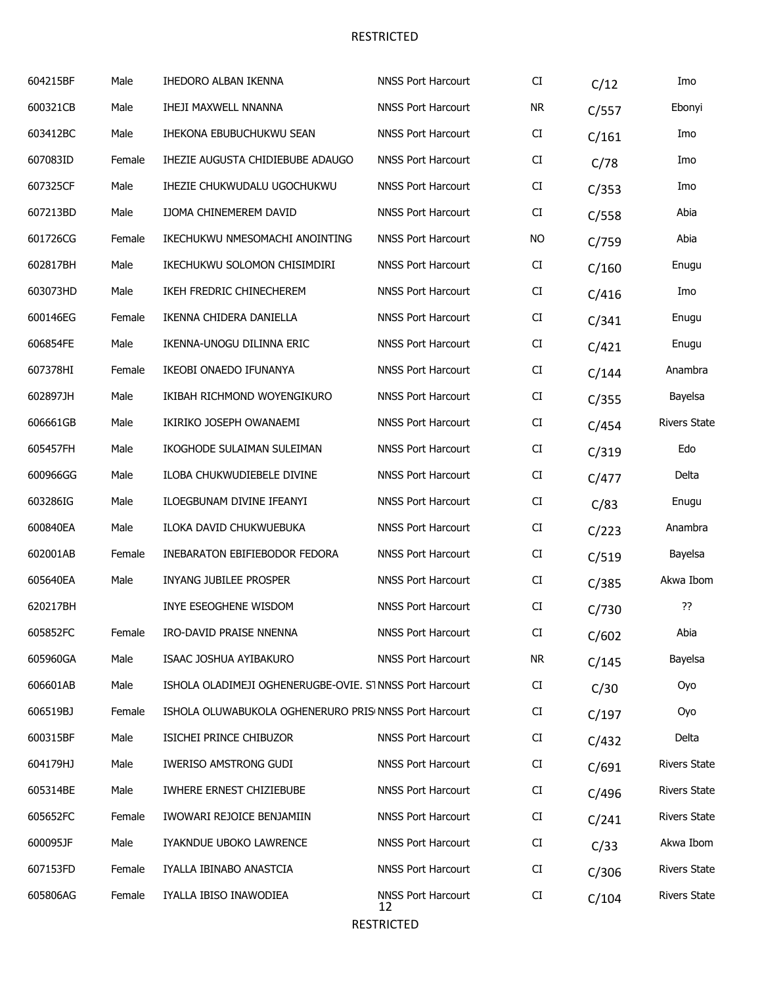| 604215BF | Male   | IHEDORO ALBAN IKENNA                                    | <b>NNSS Port Harcourt</b>       | CI        | C/12  | Imo                 |
|----------|--------|---------------------------------------------------------|---------------------------------|-----------|-------|---------------------|
| 600321CB | Male   | <b>IHEJI MAXWELL NNANNA</b>                             | <b>NNSS Port Harcourt</b>       | <b>NR</b> | C/557 | Ebonyi              |
| 603412BC | Male   | IHEKONA EBUBUCHUKWU SEAN                                | <b>NNSS Port Harcourt</b>       | CI        | C/161 | Imo                 |
| 607083ID | Female | IHEZIE AUGUSTA CHIDIEBUBE ADAUGO                        | <b>NNSS Port Harcourt</b>       | CI        | C/78  | Imo                 |
| 607325CF | Male   | IHEZIE CHUKWUDALU UGOCHUKWU                             | <b>NNSS Port Harcourt</b>       | CI        | C/353 | Imo                 |
| 607213BD | Male   | <b>IJOMA CHINEMEREM DAVID</b>                           | <b>NNSS Port Harcourt</b>       | CI        | C/558 | Abia                |
| 601726CG | Female | IKECHUKWU NMESOMACHI ANOINTING                          | <b>NNSS Port Harcourt</b>       | <b>NO</b> | C/759 | Abia                |
| 602817BH | Male   | IKECHUKWU SOLOMON CHISIMDIRI                            | <b>NNSS Port Harcourt</b>       | CI        | C/160 | Enugu               |
| 603073HD | Male   | IKEH FREDRIC CHINECHEREM                                | <b>NNSS Port Harcourt</b>       | CI        | C/416 | Imo                 |
| 600146EG | Female | IKENNA CHIDERA DANIELLA                                 | <b>NNSS Port Harcourt</b>       | CI        | C/341 | Enugu               |
| 606854FE | Male   | IKENNA-UNOGU DILINNA ERIC                               | <b>NNSS Port Harcourt</b>       | CI        | C/421 | Enugu               |
| 607378HI | Female | IKEOBI ONAEDO IFUNANYA                                  | <b>NNSS Port Harcourt</b>       | CI        | C/144 | Anambra             |
| 602897JH | Male   | IKIBAH RICHMOND WOYENGIKURO                             | <b>NNSS Port Harcourt</b>       | CI        | C/355 | Bayelsa             |
| 606661GB | Male   | IKIRIKO JOSEPH OWANAEMI                                 | <b>NNSS Port Harcourt</b>       | CI        | C/454 | <b>Rivers State</b> |
| 605457FH | Male   | IKOGHODE SULAIMAN SULEIMAN                              | <b>NNSS Port Harcourt</b>       | CI        | C/319 | Edo                 |
| 600966GG | Male   | ILOBA CHUKWUDIEBELE DIVINE                              | <b>NNSS Port Harcourt</b>       | CI        | C/477 | Delta               |
| 603286IG | Male   | ILOEGBUNAM DIVINE IFEANYI                               | <b>NNSS Port Harcourt</b>       | CI        | C/83  | Enugu               |
| 600840EA | Male   | ILOKA DAVID CHUKWUEBUKA                                 | <b>NNSS Port Harcourt</b>       | CI        | C/223 | Anambra             |
| 602001AB | Female | INEBARATON EBIFIEBODOR FEDORA                           | <b>NNSS Port Harcourt</b>       | CI        | C/519 | Bayelsa             |
| 605640EA | Male   | INYANG JUBILEE PROSPER                                  | <b>NNSS Port Harcourt</b>       | CI        | C/385 | Akwa Ibom           |
| 620217BH |        | INYE ESEOGHENE WISDOM                                   | <b>NNSS Port Harcourt</b>       | CI        | C/730 | ??                  |
| 605852FC | Female | IRO-DAVID PRAISE NNENNA                                 | <b>NNSS Port Harcourt</b>       | CI.       | C/602 | Abia                |
| 605960GA | Male   | ISAAC JOSHUA AYIBAKURO                                  | <b>NNSS Port Harcourt</b>       | <b>NR</b> | C/145 | Bayelsa             |
| 606601AB | Male   | ISHOLA OLADIMEJI OGHENERUGBE-OVIE. STNNSS Port Harcourt |                                 | CI        | C/30  | Oyo                 |
| 606519BJ | Female | ISHOLA OLUWABUKOLA OGHENERURO PRIS NNSS Port Harcourt   |                                 | CI        | C/197 | Oyo                 |
| 600315BF | Male   | ISICHEI PRINCE CHIBUZOR                                 | <b>NNSS Port Harcourt</b>       | CI        | C/432 | Delta               |
| 604179HJ | Male   | <b>IWERISO AMSTRONG GUDI</b>                            | <b>NNSS Port Harcourt</b>       | CI        | C/691 | <b>Rivers State</b> |
| 605314BE | Male   | IWHERE ERNEST CHIZIEBUBE                                | <b>NNSS Port Harcourt</b>       | CI        | C/496 | <b>Rivers State</b> |
| 605652FC | Female | IWOWARI REJOICE BENJAMIIN                               | <b>NNSS Port Harcourt</b>       | CI        | C/241 | <b>Rivers State</b> |
| 600095JF | Male   | IYAKNDUE UBOKO LAWRENCE                                 | <b>NNSS Port Harcourt</b>       | CI        | C/33  | Akwa Ibom           |
| 607153FD | Female | IYALLA IBINABO ANASTCIA                                 | <b>NNSS Port Harcourt</b>       | CI        | C/306 | <b>Rivers State</b> |
| 605806AG | Female | IYALLA IBISO INAWODIEA                                  | <b>NNSS Port Harcourt</b><br>12 | CI        | C/104 | <b>Rivers State</b> |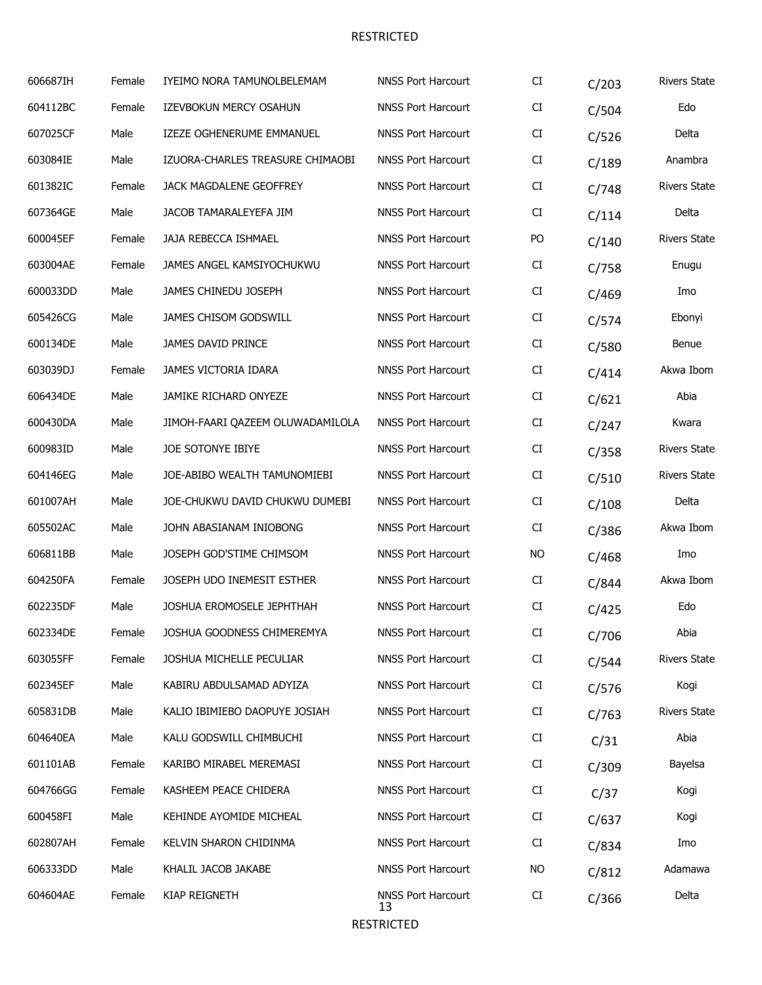| 606687IH | Female | IYEIMO NORA TAMUNOLBELEMAM       | <b>NNSS Port Harcourt</b>       | CI        | C/203 | <b>Rivers State</b> |
|----------|--------|----------------------------------|---------------------------------|-----------|-------|---------------------|
| 604112BC | Female | IZEVBOKUN MERCY OSAHUN           | <b>NNSS Port Harcourt</b>       | CI        | C/504 | Edo                 |
| 607025CF | Male   | IZEZE OGHENERUME EMMANUEL        | <b>NNSS Port Harcourt</b>       | CI        | C/526 | Delta               |
| 603084IE | Male   | IZUORA-CHARLES TREASURE CHIMAOBI | <b>NNSS Port Harcourt</b>       | CI        | C/189 | Anambra             |
| 601382IC | Female | <b>JACK MAGDALENE GEOFFREY</b>   | <b>NNSS Port Harcourt</b>       | CI        | C/748 | <b>Rivers State</b> |
| 607364GE | Male   | JACOB TAMARALEYEFA JIM           | <b>NNSS Port Harcourt</b>       | CI        | C/114 | Delta               |
| 600045EF | Female | JAJA REBECCA ISHMAEL             | <b>NNSS Port Harcourt</b>       | PO        | C/140 | <b>Rivers State</b> |
| 603004AE | Female | JAMES ANGEL KAMSIYOCHUKWU        | <b>NNSS Port Harcourt</b>       | CI        | C/758 | Enugu               |
| 600033DD | Male   | JAMES CHINEDU JOSEPH             | <b>NNSS Port Harcourt</b>       | CI        | C/469 | Imo                 |
| 605426CG | Male   | JAMES CHISOM GODSWILL            | <b>NNSS Port Harcourt</b>       | CI        | C/574 | Ebonyi              |
| 600134DE | Male   | JAMES DAVID PRINCE               | <b>NNSS Port Harcourt</b>       | CI        | C/580 | Benue               |
| 603039DJ | Female | JAMES VICTORIA IDARA             | <b>NNSS Port Harcourt</b>       | CI        | C/414 | Akwa Ibom           |
| 606434DE | Male   | <b>JAMIKE RICHARD ONYEZE</b>     | <b>NNSS Port Harcourt</b>       | CI        | C/621 | Abia                |
| 600430DA | Male   | JIMOH-FAARI QAZEEM OLUWADAMILOLA | <b>NNSS Port Harcourt</b>       | CI        | C/247 | Kwara               |
| 600983ID | Male   | JOE SOTONYE IBIYE                | <b>NNSS Port Harcourt</b>       | CI        | C/358 | <b>Rivers State</b> |
| 604146EG | Male   | JOE-ABIBO WEALTH TAMUNOMIEBI     | <b>NNSS Port Harcourt</b>       | CI        | C/510 | <b>Rivers State</b> |
| 601007AH | Male   | JOE-CHUKWU DAVID CHUKWU DUMEBI   | <b>NNSS Port Harcourt</b>       | CI        | C/108 | Delta               |
| 605502AC | Male   | JOHN ABASIANAM INIOBONG          | <b>NNSS Port Harcourt</b>       | CI        | C/386 | Akwa Ibom           |
| 606811BB | Male   | JOSEPH GOD'STIME CHIMSOM         | <b>NNSS Port Harcourt</b>       | <b>NO</b> | C/468 | Imo                 |
| 604250FA | Female | JOSEPH UDO INEMESIT ESTHER       | <b>NNSS Port Harcourt</b>       | CI        | C/844 | Akwa Ibom           |
| 602235DF | Male   | JOSHUA EROMOSELE JEPHTHAH        | <b>NNSS Port Harcourt</b>       | CI        | C/425 | Edo                 |
| 602334DE | Female | JOSHUA GOODNESS CHIMEREMYA       | <b>NNSS Port Harcourt</b>       | CI.       | C/706 | Abia                |
| 603055FF | Female | JOSHUA MICHELLE PECULIAR         | <b>NNSS Port Harcourt</b>       | CI        | C/544 | <b>Rivers State</b> |
| 602345EF | Male   | KABIRU ABDULSAMAD ADYIZA         | <b>NNSS Port Harcourt</b>       | CI        | C/576 | Kogi                |
| 605831DB | Male   | KALIO IBIMIEBO DAOPUYE JOSIAH    | <b>NNSS Port Harcourt</b>       | CI        | C/763 | <b>Rivers State</b> |
| 604640EA | Male   | KALU GODSWILL CHIMBUCHI          | <b>NNSS Port Harcourt</b>       | CI        | C/31  | Abia                |
| 601101AB | Female | KARIBO MIRABEL MEREMASI          | <b>NNSS Port Harcourt</b>       | CI        | C/309 | Bayelsa             |
| 604766GG | Female | KASHEEM PEACE CHIDERA            | <b>NNSS Port Harcourt</b>       | CI        | C/37  | Kogi                |
| 600458FI | Male   | KEHINDE AYOMIDE MICHEAL          | <b>NNSS Port Harcourt</b>       | CI        | C/637 | Kogi                |
| 602807AH | Female | KELVIN SHARON CHIDINMA           | <b>NNSS Port Harcourt</b>       | CI        | C/834 | Imo                 |
| 606333DD | Male   | KHALIL JACOB JAKABE              | <b>NNSS Port Harcourt</b>       | NO.       | C/812 | Adamawa             |
| 604604AE | Female | <b>KIAP REIGNETH</b>             | <b>NNSS Port Harcourt</b><br>13 | CI        | C/366 | Delta               |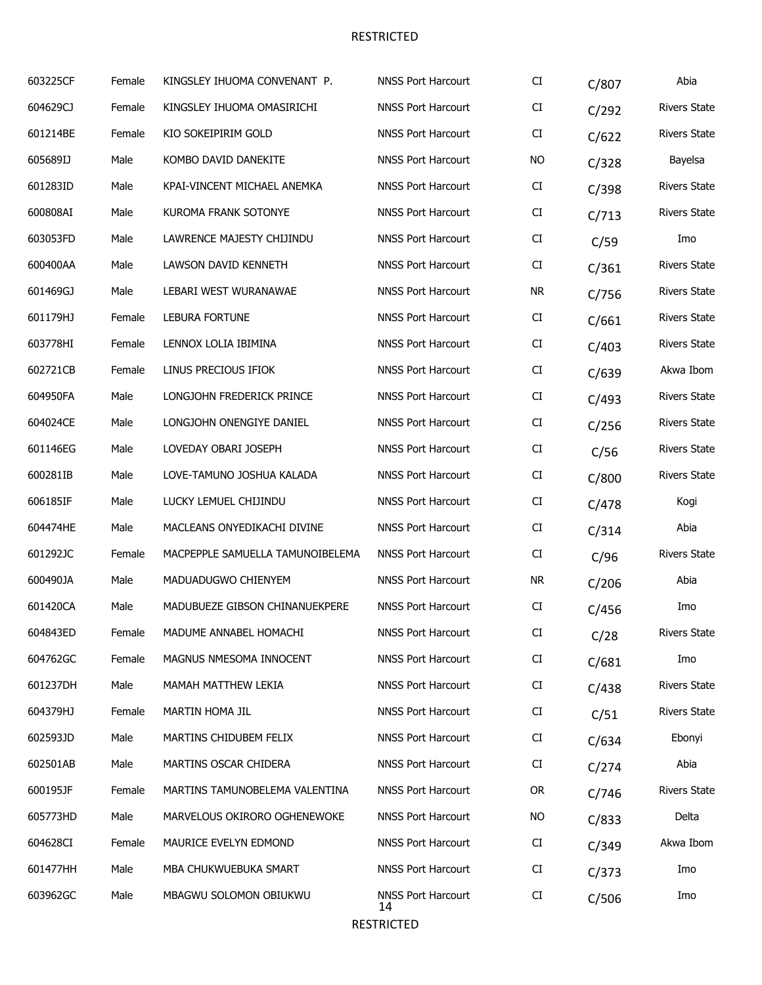| 603225CF | Female | KINGSLEY IHUOMA CONVENANT P.     | <b>NNSS Port Harcourt</b>       | CI         | C/807 | Abia                |
|----------|--------|----------------------------------|---------------------------------|------------|-------|---------------------|
| 604629CJ | Female | KINGSLEY IHUOMA OMASIRICHI       | <b>NNSS Port Harcourt</b>       | CI         | C/292 | <b>Rivers State</b> |
| 601214BE | Female | KIO SOKEIPIRIM GOLD              | <b>NNSS Port Harcourt</b>       | CI         | C/622 | <b>Rivers State</b> |
| 605689IJ | Male   | KOMBO DAVID DANEKITE             | <b>NNSS Port Harcourt</b>       | <b>NO</b>  | C/328 | Bayelsa             |
| 601283ID | Male   | KPAI-VINCENT MICHAEL ANEMKA      | <b>NNSS Port Harcourt</b>       | CI         | C/398 | <b>Rivers State</b> |
| 600808AI | Male   | KUROMA FRANK SOTONYE             | <b>NNSS Port Harcourt</b>       | ${\rm CI}$ | C/713 | <b>Rivers State</b> |
| 603053FD | Male   | LAWRENCE MAJESTY CHIJINDU        | <b>NNSS Port Harcourt</b>       | CI         | C/59  | Imo                 |
| 600400AA | Male   | LAWSON DAVID KENNETH             | <b>NNSS Port Harcourt</b>       | CI         | C/361 | <b>Rivers State</b> |
| 601469GJ | Male   | LEBARI WEST WURANAWAE            | <b>NNSS Port Harcourt</b>       | <b>NR</b>  | C/756 | <b>Rivers State</b> |
| 601179HJ | Female | LEBURA FORTUNE                   | <b>NNSS Port Harcourt</b>       | CI         | C/661 | <b>Rivers State</b> |
| 603778HI | Female | LENNOX LOLIA IBIMINA             | <b>NNSS Port Harcourt</b>       | CI         | C/403 | <b>Rivers State</b> |
| 602721CB | Female | LINUS PRECIOUS IFIOK             | <b>NNSS Port Harcourt</b>       | CI         | C/639 | Akwa Ibom           |
| 604950FA | Male   | LONGJOHN FREDERICK PRINCE        | <b>NNSS Port Harcourt</b>       | CI         | C/493 | <b>Rivers State</b> |
| 604024CE | Male   | LONGJOHN ONENGIYE DANIEL         | <b>NNSS Port Harcourt</b>       | CI         | C/256 | <b>Rivers State</b> |
| 601146EG | Male   | LOVEDAY OBARI JOSEPH             | <b>NNSS Port Harcourt</b>       | CI         | C/56  | <b>Rivers State</b> |
| 600281IB | Male   | LOVE-TAMUNO JOSHUA KALADA        | <b>NNSS Port Harcourt</b>       | CI         | C/800 | <b>Rivers State</b> |
| 606185IF | Male   | LUCKY LEMUEL CHIJINDU            | <b>NNSS Port Harcourt</b>       | ${\rm CI}$ | C/478 | Kogi                |
| 604474HE | Male   | MACLEANS ONYEDIKACHI DIVINE      | <b>NNSS Port Harcourt</b>       | CI         | C/314 | Abia                |
| 601292JC | Female | MACPEPPLE SAMUELLA TAMUNOIBELEMA | <b>NNSS Port Harcourt</b>       | CI         | C/96  | <b>Rivers State</b> |
| 600490JA | Male   | MADUADUGWO CHIENYEM              | <b>NNSS Port Harcourt</b>       | <b>NR</b>  | C/206 | Abia                |
| 601420CA | Male   | MADUBUEZE GIBSON CHINANUEKPERE   | <b>NNSS Port Harcourt</b>       | CI         | C/456 | Imo                 |
| 604843ED | Female | MADUME ANNABEL HOMACHI           | <b>NNSS Port Harcourt</b>       | CI         | C/28  | <b>Rivers State</b> |
| 604762GC | Female | MAGNUS NMESOMA INNOCENT          | <b>NNSS Port Harcourt</b>       | CI         | C/681 | Imo                 |
| 601237DH | Male   | MAMAH MATTHEW LEKIA              | <b>NNSS Port Harcourt</b>       | CI         | C/438 | <b>Rivers State</b> |
| 604379HJ | Female | MARTIN HOMA JIL                  | <b>NNSS Port Harcourt</b>       | CI         | C/51  | <b>Rivers State</b> |
| 602593JD | Male   | MARTINS CHIDUBEM FELIX           | <b>NNSS Port Harcourt</b>       | CI         | C/634 | Ebonyi              |
| 602501AB | Male   | MARTINS OSCAR CHIDERA            | <b>NNSS Port Harcourt</b>       | CI         | C/274 | Abia                |
| 600195JF | Female | MARTINS TAMUNOBELEMA VALENTINA   | <b>NNSS Port Harcourt</b>       | <b>OR</b>  | C/746 | <b>Rivers State</b> |
| 605773HD | Male   | MARVELOUS OKIRORO OGHENEWOKE     | <b>NNSS Port Harcourt</b>       | NO         | C/833 | Delta               |
| 604628CI | Female | MAURICE EVELYN EDMOND            | <b>NNSS Port Harcourt</b>       | CI         | C/349 | Akwa Ibom           |
| 601477HH | Male   | MBA CHUKWUEBUKA SMART            | <b>NNSS Port Harcourt</b>       | CI         | C/373 | Imo                 |
| 603962GC | Male   | MBAGWU SOLOMON OBIUKWU           | <b>NNSS Port Harcourt</b><br>14 | CI         | C/506 | Imo                 |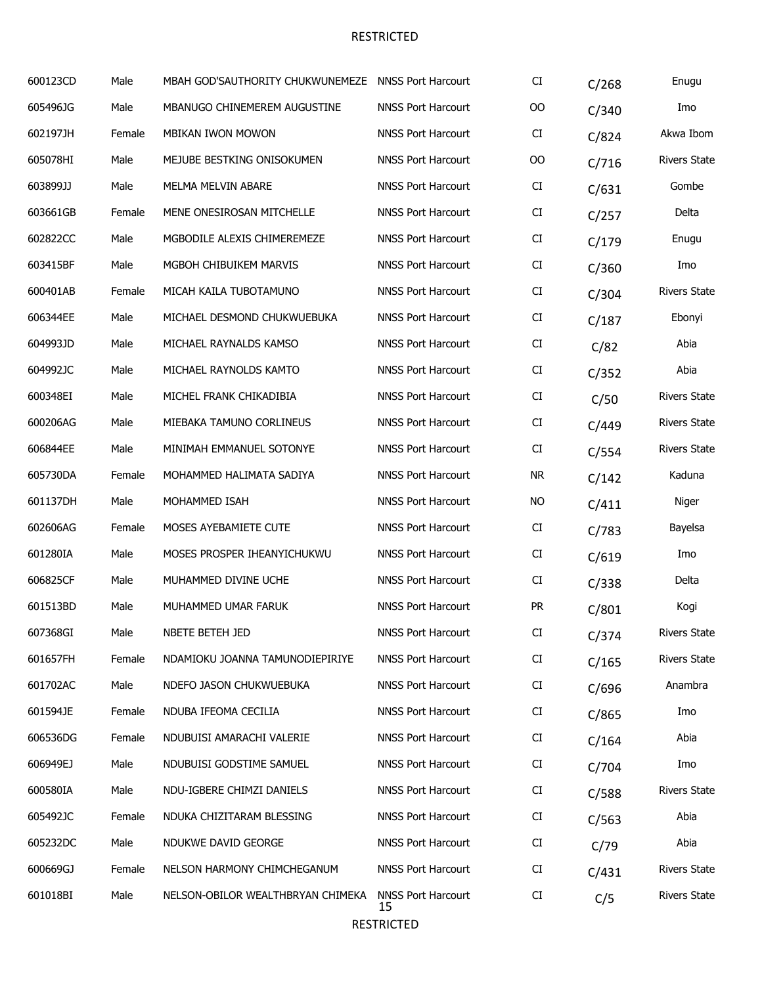| 600123CD | Male   | MBAH GOD'SAUTHORITY CHUKWUNEMEZE  | <b>NNSS Port Harcourt</b>       | CI        | C/268 | Enugu               |
|----------|--------|-----------------------------------|---------------------------------|-----------|-------|---------------------|
| 605496JG | Male   | MBANUGO CHINEMEREM AUGUSTINE      | <b>NNSS Port Harcourt</b>       | $00\,$    | C/340 | Imo                 |
| 602197JH | Female | <b>MBIKAN IWON MOWON</b>          | <b>NNSS Port Harcourt</b>       | CI        | C/824 | Akwa Ibom           |
| 605078HI | Male   | MEJUBE BESTKING ONISOKUMEN        | <b>NNSS Port Harcourt</b>       | OO        | C/716 | <b>Rivers State</b> |
| 603899JJ | Male   | MELMA MELVIN ABARE                | <b>NNSS Port Harcourt</b>       | CI        | C/631 | Gombe               |
| 603661GB | Female | MENE ONESIROSAN MITCHELLE         | <b>NNSS Port Harcourt</b>       | CI        | C/257 | Delta               |
| 602822CC | Male   | MGBODILE ALEXIS CHIMEREMEZE       | <b>NNSS Port Harcourt</b>       | CI        | C/179 | Enugu               |
| 603415BF | Male   | MGBOH CHIBUIKEM MARVIS            | <b>NNSS Port Harcourt</b>       | CI        | C/360 | Imo                 |
| 600401AB | Female | MICAH KAILA TUBOTAMUNO            | <b>NNSS Port Harcourt</b>       | CI        | C/304 | <b>Rivers State</b> |
| 606344EE | Male   | MICHAEL DESMOND CHUKWUEBUKA       | <b>NNSS Port Harcourt</b>       | CI        | C/187 | Ebonyi              |
| 604993JD | Male   | MICHAEL RAYNALDS KAMSO            | <b>NNSS Port Harcourt</b>       | CI        | C/82  | Abia                |
| 604992JC | Male   | MICHAEL RAYNOLDS KAMTO            | <b>NNSS Port Harcourt</b>       | CI        | C/352 | Abia                |
| 600348EI | Male   | MICHEL FRANK CHIKADIBIA           | <b>NNSS Port Harcourt</b>       | CI        | C/50  | <b>Rivers State</b> |
| 600206AG | Male   | MIEBAKA TAMUNO CORLINEUS          | <b>NNSS Port Harcourt</b>       | CI        | C/449 | <b>Rivers State</b> |
| 606844EE | Male   | MINIMAH EMMANUEL SOTONYE          | <b>NNSS Port Harcourt</b>       | CI        | C/554 | <b>Rivers State</b> |
| 605730DA | Female | MOHAMMED HALIMATA SADIYA          | <b>NNSS Port Harcourt</b>       | <b>NR</b> | C/142 | Kaduna              |
| 601137DH | Male   | MOHAMMED ISAH                     | <b>NNSS Port Harcourt</b>       | NO        | C/411 | Niger               |
| 602606AG | Female | MOSES AYEBAMIETE CUTE             | <b>NNSS Port Harcourt</b>       | CI        | C/783 | Bayelsa             |
| 601280IA | Male   | MOSES PROSPER IHEANYICHUKWU       | <b>NNSS Port Harcourt</b>       | CI        | C/619 | Imo                 |
| 606825CF | Male   | MUHAMMED DIVINE UCHE              | <b>NNSS Port Harcourt</b>       | CI        | C/338 | Delta               |
| 601513BD | Male   | MUHAMMED UMAR FARUK               | <b>NNSS Port Harcourt</b>       | <b>PR</b> | C/801 | Kogi                |
| 607368GI | Male   | NBETE BETEH JED                   | <b>NNSS Port Harcourt</b>       | CI        | C/374 | <b>Rivers State</b> |
| 601657FH | Female | NDAMIOKU JOANNA TAMUNODIEPIRIYE   | <b>NNSS Port Harcourt</b>       | CI        | C/165 | <b>Rivers State</b> |
| 601702AC | Male   | NDEFO JASON CHUKWUEBUKA           | <b>NNSS Port Harcourt</b>       | CI        | C/696 | Anambra             |
| 601594JE | Female | NDUBA IFEOMA CECILIA              | <b>NNSS Port Harcourt</b>       | CI        | C/865 | Imo                 |
| 606536DG | Female | NDUBUISI AMARACHI VALERIE         | <b>NNSS Port Harcourt</b>       | CI        | C/164 | Abia                |
| 606949EJ | Male   | NDUBUISI GODSTIME SAMUEL          | <b>NNSS Port Harcourt</b>       | CI        | C/704 | Imo                 |
| 600580IA | Male   | NDU-IGBERE CHIMZI DANIELS         | <b>NNSS Port Harcourt</b>       | CI        | C/588 | <b>Rivers State</b> |
| 605492JC | Female | NDUKA CHIZITARAM BLESSING         | <b>NNSS Port Harcourt</b>       | CI        | C/563 | Abia                |
| 605232DC | Male   | NDUKWE DAVID GEORGE               | <b>NNSS Port Harcourt</b>       | CI        | C/79  | Abia                |
| 600669GJ | Female | NELSON HARMONY CHIMCHEGANUM       | <b>NNSS Port Harcourt</b>       | CI        | C/431 | <b>Rivers State</b> |
| 601018BI | Male   | NELSON-OBILOR WEALTHBRYAN CHIMEKA | <b>NNSS Port Harcourt</b><br>15 | CI        | C/5   | <b>Rivers State</b> |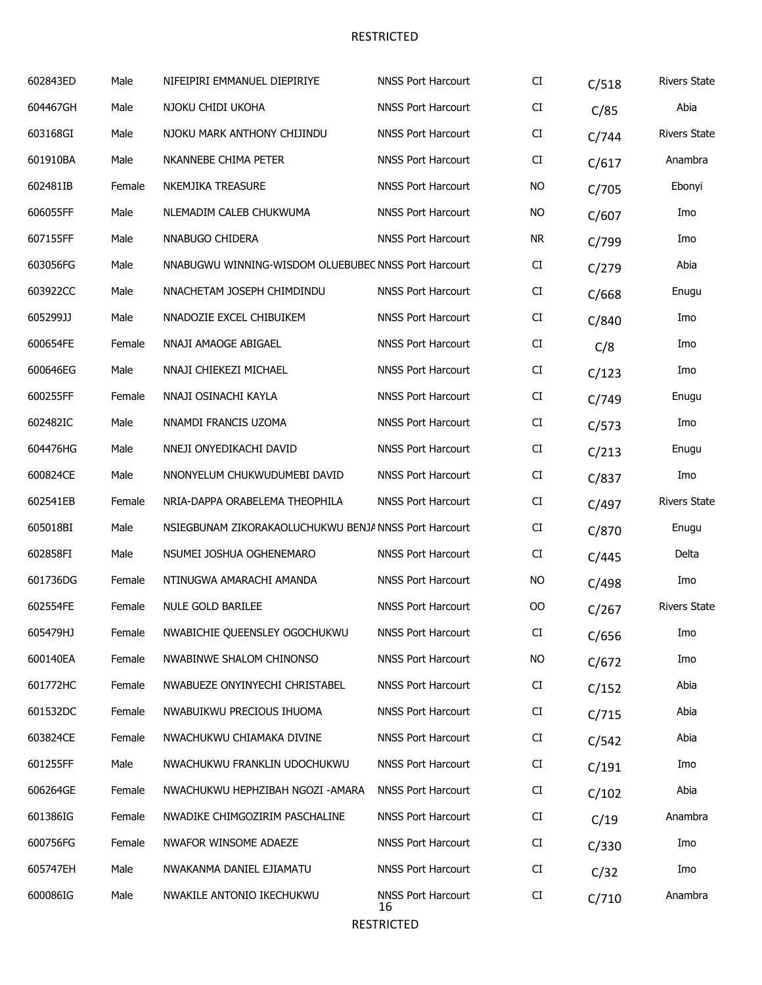| 602843ED | Male   | NIFEIPIRI EMMANUEL DIEPIRIYE                          | <b>NNSS Port Harcourt</b>       | CI        | C/518 | <b>Rivers State</b> |
|----------|--------|-------------------------------------------------------|---------------------------------|-----------|-------|---------------------|
| 604467GH | Male   | NJOKU CHIDI UKOHA                                     | <b>NNSS Port Harcourt</b>       | CI        | C/85  | Abia                |
| 603168GI | Male   | NJOKU MARK ANTHONY CHIJINDU                           | <b>NNSS Port Harcourt</b>       | CI        | C/744 | <b>Rivers State</b> |
| 601910BA | Male   | NKANNEBE CHIMA PETER                                  | <b>NNSS Port Harcourt</b>       | CI        | C/617 | Anambra             |
| 602481IB | Female | NKEMJIKA TREASURE                                     | <b>NNSS Port Harcourt</b>       | <b>NO</b> | C/705 | Ebonyi              |
| 606055FF | Male   | NLEMADIM CALEB CHUKWUMA                               | <b>NNSS Port Harcourt</b>       | <b>NO</b> | C/607 | Imo                 |
| 607155FF | Male   | NNABUGO CHIDERA                                       | <b>NNSS Port Harcourt</b>       | <b>NR</b> | C/799 | Imo                 |
| 603056FG | Male   | NNABUGWU WINNING-WISDOM OLUEBUBEC NNSS Port Harcourt  |                                 | CI        | C/279 | Abia                |
| 603922CC | Male   | NNACHETAM JOSEPH CHIMDINDU                            | <b>NNSS Port Harcourt</b>       | CI        | C/668 | Enugu               |
| 605299JJ | Male   | NNADOZIE EXCEL CHIBUIKEM                              | <b>NNSS Port Harcourt</b>       | CI        | C/840 | Imo                 |
| 600654FE | Female | NNAJI AMAOGE ABIGAEL                                  | <b>NNSS Port Harcourt</b>       | CI        | C/8   | Imo                 |
| 600646EG | Male   | NNAJI CHIEKEZI MICHAEL                                | <b>NNSS Port Harcourt</b>       | CI        | C/123 | Imo                 |
| 600255FF | Female | NNAJI OSINACHI KAYLA                                  | <b>NNSS Port Harcourt</b>       | CI        | C/749 | Enugu               |
| 602482IC | Male   | NNAMDI FRANCIS UZOMA                                  | <b>NNSS Port Harcourt</b>       | CI        | C/573 | Imo                 |
| 604476HG | Male   | NNEJI ONYEDIKACHI DAVID                               | <b>NNSS Port Harcourt</b>       | CI        | C/213 | Enugu               |
| 600824CE | Male   | NNONYELUM CHUKWUDUMEBI DAVID                          | <b>NNSS Port Harcourt</b>       | CI        | C/837 | Imo                 |
| 602541EB | Female | NRIA-DAPPA ORABELEMA THEOPHILA                        | <b>NNSS Port Harcourt</b>       | CI        | C/497 | <b>Rivers State</b> |
| 605018BI | Male   | NSIEGBUNAM ZIKORAKAOLUCHUKWU BENJA NNSS Port Harcourt |                                 | CI        | C/870 | Enugu               |
| 602858FI | Male   | NSUMEI JOSHUA OGHENEMARO                              | <b>NNSS Port Harcourt</b>       | CI        | C/445 | Delta               |
| 601736DG | Female | NTINUGWA AMARACHI AMANDA                              | <b>NNSS Port Harcourt</b>       | <b>NO</b> | C/498 | Imo                 |
| 602554FE | Female | NULE GOLD BARILEE                                     | <b>NNSS Port Harcourt</b>       | OO        | C/267 | <b>Rivers State</b> |
| 605479HJ | Female | NWABICHIE QUEENSLEY OGOCHUKWU                         | <b>NNSS Port Harcourt</b>       | CI        | C/656 | Imo                 |
| 600140EA | Female | NWABINWE SHALOM CHINONSO                              | <b>NNSS Port Harcourt</b>       | <b>NO</b> | C/672 | Imo                 |
| 601772HC | Female | NWABUEZE ONYINYECHI CHRISTABEL                        | <b>NNSS Port Harcourt</b>       | CI        | C/152 | Abia                |
| 601532DC | Female | NWABUIKWU PRECIOUS IHUOMA                             | <b>NNSS Port Harcourt</b>       | CI        | C/715 | Abia                |
| 603824CE | Female | NWACHUKWU CHIAMAKA DIVINE                             | <b>NNSS Port Harcourt</b>       | CI        | C/542 | Abia                |
| 601255FF | Male   | NWACHUKWU FRANKLIN UDOCHUKWU                          | <b>NNSS Port Harcourt</b>       | CI        | C/191 | Imo                 |
| 606264GE | Female | NWACHUKWU HEPHZIBAH NGOZI -AMARA                      | <b>NNSS Port Harcourt</b>       | CI        | C/102 | Abia                |
| 601386IG | Female | NWADIKE CHIMGOZIRIM PASCHALINE                        | <b>NNSS Port Harcourt</b>       | CI        | C/19  | Anambra             |
| 600756FG | Female | NWAFOR WINSOME ADAEZE                                 | <b>NNSS Port Harcourt</b>       | CI        | C/330 | Imo                 |
| 605747EH | Male   | NWAKANMA DANIEL EJIAMATU                              | <b>NNSS Port Harcourt</b>       | CI        | C/32  | Imo                 |
| 600086IG | Male   | NWAKILE ANTONIO IKECHUKWU                             | <b>NNSS Port Harcourt</b><br>16 | CI        | C/710 | Anambra             |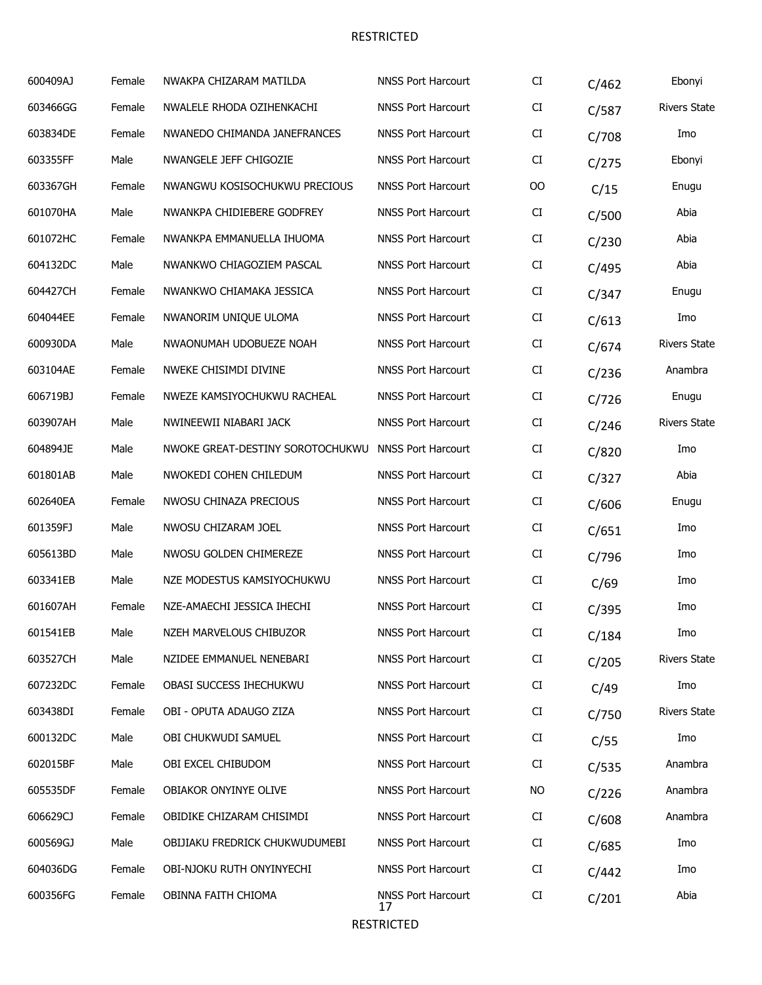| 600409AJ | Female | NWAKPA CHIZARAM MATILDA          | <b>NNSS Port Harcourt</b>       | CI     | C/462 | Ebonyi              |
|----------|--------|----------------------------------|---------------------------------|--------|-------|---------------------|
| 603466GG | Female | NWALELE RHODA OZIHENKACHI        | <b>NNSS Port Harcourt</b>       | CI     | C/587 | <b>Rivers State</b> |
| 603834DE | Female | NWANEDO CHIMANDA JANEFRANCES     | <b>NNSS Port Harcourt</b>       | CI     | C/708 | Imo                 |
| 603355FF | Male   | NWANGELE JEFF CHIGOZIE           | <b>NNSS Port Harcourt</b>       | CI     | C/275 | Ebonyi              |
| 603367GH | Female | NWANGWU KOSISOCHUKWU PRECIOUS    | <b>NNSS Port Harcourt</b>       | $00\,$ | C/15  | Enugu               |
| 601070HA | Male   | NWANKPA CHIDIEBERE GODFREY       | <b>NNSS Port Harcourt</b>       | CI     | C/500 | Abia                |
| 601072HC | Female | NWANKPA EMMANUELLA IHUOMA        | <b>NNSS Port Harcourt</b>       | CI     | C/230 | Abia                |
| 604132DC | Male   | NWANKWO CHIAGOZIEM PASCAL        | <b>NNSS Port Harcourt</b>       | CI     | C/495 | Abia                |
| 604427CH | Female | NWANKWO CHIAMAKA JESSICA         | <b>NNSS Port Harcourt</b>       | CI     | C/347 | Enugu               |
| 604044EE | Female | NWANORIM UNIQUE ULOMA            | <b>NNSS Port Harcourt</b>       | CI     | C/613 | Imo                 |
| 600930DA | Male   | NWAONUMAH UDOBUEZE NOAH          | <b>NNSS Port Harcourt</b>       | CI     | C/674 | <b>Rivers State</b> |
| 603104AE | Female | NWEKE CHISIMDI DIVINE            | <b>NNSS Port Harcourt</b>       | CI     | C/236 | Anambra             |
| 606719BJ | Female | NWEZE KAMSIYOCHUKWU RACHEAL      | <b>NNSS Port Harcourt</b>       | CI     | C/726 | Enugu               |
| 603907AH | Male   | NWINEEWII NIABARI JACK           | <b>NNSS Port Harcourt</b>       | CI     | C/246 | <b>Rivers State</b> |
| 604894JE | Male   | NWOKE GREAT-DESTINY SOROTOCHUKWU | <b>NNSS Port Harcourt</b>       | CI     | C/820 | Imo                 |
| 601801AB | Male   | NWOKEDI COHEN CHILEDUM           | <b>NNSS Port Harcourt</b>       | CI     | C/327 | Abia                |
| 602640EA | Female | NWOSU CHINAZA PRECIOUS           | <b>NNSS Port Harcourt</b>       | CI     | C/606 | Enugu               |
| 601359FJ | Male   | NWOSU CHIZARAM JOEL              | <b>NNSS Port Harcourt</b>       | CI     | C/651 | Imo                 |
| 605613BD | Male   | NWOSU GOLDEN CHIMEREZE           | <b>NNSS Port Harcourt</b>       | CI     | C/796 | Imo                 |
| 603341EB | Male   | NZE MODESTUS KAMSIYOCHUKWU       | <b>NNSS Port Harcourt</b>       | CI     | C/69  | Imo                 |
| 601607AH | Female | NZE-AMAECHI JESSICA IHECHI       | <b>NNSS Port Harcourt</b>       | CI     | C/395 | Imo                 |
| 601541EB | Male   | NZEH MARVELOUS CHIBUZOR          | <b>NNSS Port Harcourt</b>       | CI.    | C/184 | Imo                 |
| 603527CH | Male   | NZIDEE EMMANUEL NENEBARI         | <b>NNSS Port Harcourt</b>       | CI     | C/205 | <b>Rivers State</b> |
| 607232DC | Female | OBASI SUCCESS IHECHUKWU          | <b>NNSS Port Harcourt</b>       | CI     | C/49  | Imo                 |
| 603438DI | Female | OBI - OPUTA ADAUGO ZIZA          | <b>NNSS Port Harcourt</b>       | CI     | C/750 | <b>Rivers State</b> |
| 600132DC | Male   | OBI CHUKWUDI SAMUEL              | <b>NNSS Port Harcourt</b>       | CI     | C/55  | Imo                 |
| 602015BF | Male   | OBI EXCEL CHIBUDOM               | <b>NNSS Port Harcourt</b>       | CI     | C/535 | Anambra             |
| 605535DF | Female | OBIAKOR ONYINYE OLIVE            | <b>NNSS Port Harcourt</b>       | NO.    | C/226 | Anambra             |
| 606629CJ | Female | OBIDIKE CHIZARAM CHISIMDI        | <b>NNSS Port Harcourt</b>       | CI     | C/608 | Anambra             |
| 600569GJ | Male   | OBIJIAKU FREDRICK CHUKWUDUMEBI   | <b>NNSS Port Harcourt</b>       | CI     | C/685 | Imo                 |
| 604036DG | Female | OBI-NJOKU RUTH ONYINYECHI        | <b>NNSS Port Harcourt</b>       | CI     | C/442 | Imo                 |
| 600356FG | Female | OBINNA FAITH CHIOMA              | <b>NNSS Port Harcourt</b><br>17 | CI     | C/201 | Abia                |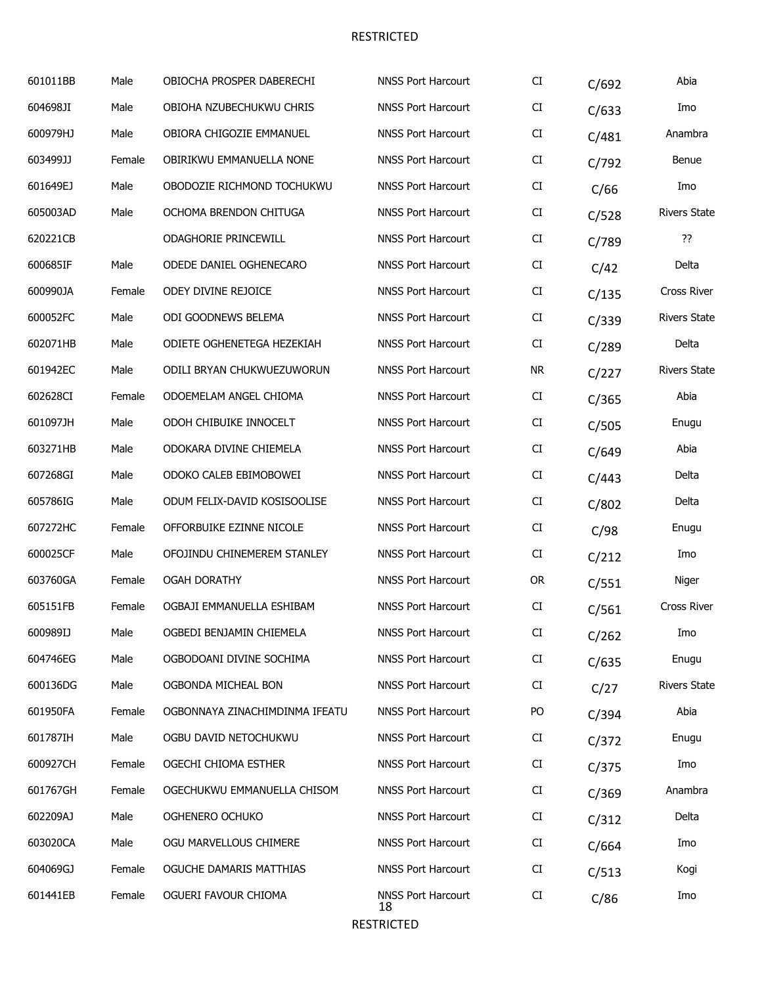| 601011BB | Male   | OBIOCHA PROSPER DABERECHI      | <b>NNSS Port Harcourt</b>       | CI         | C/692 | Abia                |
|----------|--------|--------------------------------|---------------------------------|------------|-------|---------------------|
| 604698JI | Male   | OBIOHA NZUBECHUKWU CHRIS       | <b>NNSS Port Harcourt</b>       | CI         | C/633 | Imo                 |
| 600979HJ | Male   | OBIORA CHIGOZIE EMMANUEL       | <b>NNSS Port Harcourt</b>       | CI         | C/481 | Anambra             |
| 603499JJ | Female | OBIRIKWU EMMANUELLA NONE       | <b>NNSS Port Harcourt</b>       | CI         | C/792 | Benue               |
| 601649EJ | Male   | OBODOZIE RICHMOND TOCHUKWU     | <b>NNSS Port Harcourt</b>       | CI         | C/66  | Imo                 |
| 605003AD | Male   | OCHOMA BRENDON CHITUGA         | <b>NNSS Port Harcourt</b>       | CI         | C/528 | <b>Rivers State</b> |
| 620221CB |        | ODAGHORIE PRINCEWILL           | <b>NNSS Port Harcourt</b>       | CI         | C/789 | ??                  |
| 600685IF | Male   | ODEDE DANIEL OGHENECARO        | <b>NNSS Port Harcourt</b>       | CI         | C/42  | Delta               |
| 600990JA | Female | ODEY DIVINE REJOICE            | <b>NNSS Port Harcourt</b>       | CI         | C/135 | Cross River         |
| 600052FC | Male   | ODI GOODNEWS BELEMA            | <b>NNSS Port Harcourt</b>       | CI         | C/339 | <b>Rivers State</b> |
| 602071HB | Male   | ODIETE OGHENETEGA HEZEKIAH     | <b>NNSS Port Harcourt</b>       | CI         | C/289 | Delta               |
| 601942EC | Male   | ODILI BRYAN CHUKWUEZUWORUN     | <b>NNSS Port Harcourt</b>       | <b>NR</b>  | C/227 | <b>Rivers State</b> |
| 602628CI | Female | ODOEMELAM ANGEL CHIOMA         | <b>NNSS Port Harcourt</b>       | CI         | C/365 | Abia                |
| 601097JH | Male   | ODOH CHIBUIKE INNOCELT         | <b>NNSS Port Harcourt</b>       | CI         | C/505 | Enugu               |
| 603271HB | Male   | ODOKARA DIVINE CHIEMELA        | <b>NNSS Port Harcourt</b>       | ${\rm CI}$ | C/649 | Abia                |
| 607268GI | Male   | ODOKO CALEB EBIMOBOWEI         | <b>NNSS Port Harcourt</b>       | CI         | C/443 | Delta               |
| 605786IG | Male   | ODUM FELIX-DAVID KOSISOOLISE   | <b>NNSS Port Harcourt</b>       | CI         | C/802 | Delta               |
| 607272HC | Female | OFFORBUIKE EZINNE NICOLE       | <b>NNSS Port Harcourt</b>       | CI         | C/98  | Enugu               |
| 600025CF | Male   | OFOJINDU CHINEMEREM STANLEY    | <b>NNSS Port Harcourt</b>       | ${\rm CI}$ | C/212 | Imo                 |
| 603760GA | Female | <b>OGAH DORATHY</b>            | <b>NNSS Port Harcourt</b>       | <b>OR</b>  | C/551 | Niger               |
| 605151FB | Female | OGBAJI EMMANUELLA ESHIBAM      | <b>NNSS Port Harcourt</b>       | CI         | C/561 | Cross River         |
| 600989IJ | Male   | OGBEDI BENJAMIN CHIEMELA       | <b>NNSS Port Harcourt</b>       | CI         | C/262 | Imo                 |
| 604746EG | Male   | OGBODOANI DIVINE SOCHIMA       | <b>NNSS Port Harcourt</b>       | CI         | C/635 | Enugu               |
| 600136DG | Male   | OGBONDA MICHEAL BON            | <b>NNSS Port Harcourt</b>       | CI         | C/27  | <b>Rivers State</b> |
| 601950FA | Female | OGBONNAYA ZINACHIMDINMA IFEATU | <b>NNSS Port Harcourt</b>       | PO         | C/394 | Abia                |
| 601787IH | Male   | OGBU DAVID NETOCHUKWU          | <b>NNSS Port Harcourt</b>       | CI         | C/372 | Enugu               |
| 600927CH | Female | OGECHI CHIOMA ESTHER           | <b>NNSS Port Harcourt</b>       | CI         | C/375 | Imo                 |
| 601767GH | Female | OGECHUKWU EMMANUELLA CHISOM    | <b>NNSS Port Harcourt</b>       | CI         | C/369 | Anambra             |
| 602209AJ | Male   | OGHENERO OCHUKO                | <b>NNSS Port Harcourt</b>       | CI         | C/312 | Delta               |
| 603020CA | Male   | OGU MARVELLOUS CHIMERE         | <b>NNSS Port Harcourt</b>       | CI         | C/664 | Imo                 |
| 604069GJ | Female | OGUCHE DAMARIS MATTHIAS        | <b>NNSS Port Harcourt</b>       | CI         | C/513 | Kogi                |
| 601441EB | Female | OGUERI FAVOUR CHIOMA           | <b>NNSS Port Harcourt</b><br>18 | CI         | C/86  | Imo                 |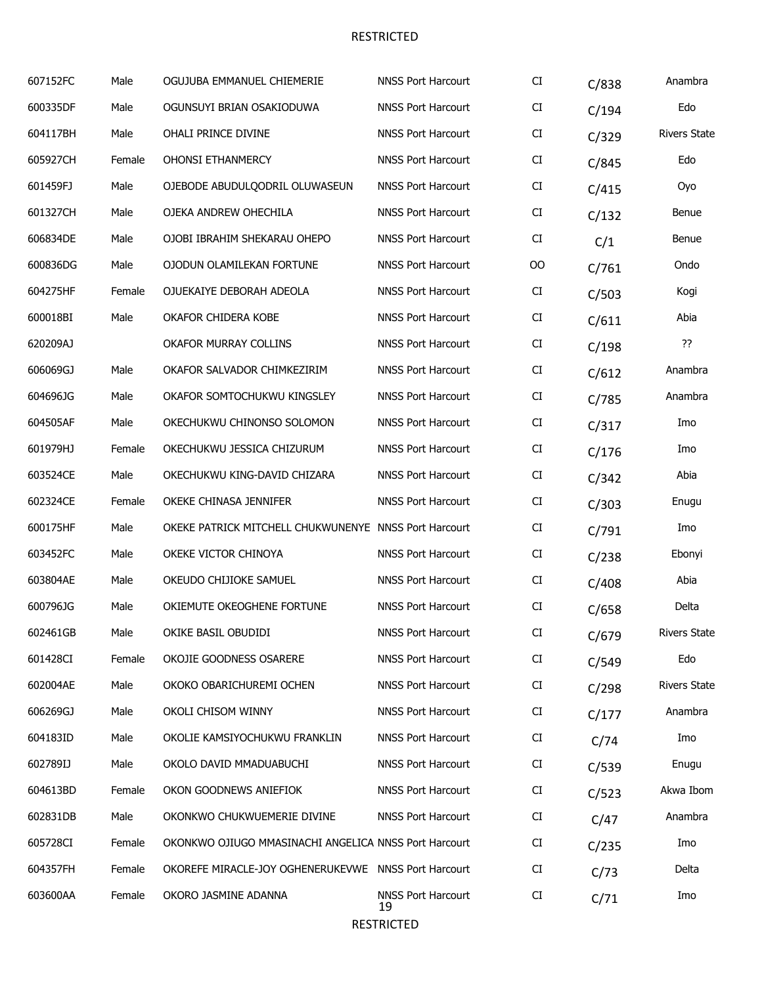| 607152FC | Male   | OGUJUBA EMMANUEL CHIEMERIE                            | <b>NNSS Port Harcourt</b>       | CI  | C/838 | Anambra             |
|----------|--------|-------------------------------------------------------|---------------------------------|-----|-------|---------------------|
| 600335DF | Male   | OGUNSUYI BRIAN OSAKIODUWA                             | <b>NNSS Port Harcourt</b>       | CI  | C/194 | Edo                 |
| 604117BH | Male   | OHALI PRINCE DIVINE                                   | <b>NNSS Port Harcourt</b>       | CI  | C/329 | <b>Rivers State</b> |
| 605927CH | Female | <b>OHONSI ETHANMERCY</b>                              | <b>NNSS Port Harcourt</b>       | CI  | C/845 | Edo                 |
| 601459FJ | Male   | OJEBODE ABUDULQODRIL OLUWASEUN                        | <b>NNSS Port Harcourt</b>       | CI  | C/415 | Oyo                 |
| 601327CH | Male   | OJEKA ANDREW OHECHILA                                 | <b>NNSS Port Harcourt</b>       | CI  | C/132 | Benue               |
| 606834DE | Male   | OJOBI IBRAHIM SHEKARAU OHEPO                          | <b>NNSS Port Harcourt</b>       | CI  | C/1   | Benue               |
| 600836DG | Male   | OJODUN OLAMILEKAN FORTUNE                             | <b>NNSS Port Harcourt</b>       | 00  | C/761 | Ondo                |
| 604275HF | Female | OJUEKAIYE DEBORAH ADEOLA                              | <b>NNSS Port Harcourt</b>       | CI  | C/503 | Kogi                |
| 600018BI | Male   | OKAFOR CHIDERA KOBE                                   | <b>NNSS Port Harcourt</b>       | CI  | C/611 | Abia                |
| 620209AJ |        | <b>OKAFOR MURRAY COLLINS</b>                          | <b>NNSS Port Harcourt</b>       | CI  | C/198 | ??                  |
| 606069GJ | Male   | OKAFOR SALVADOR CHIMKEZIRIM                           | <b>NNSS Port Harcourt</b>       | CI  | C/612 | Anambra             |
| 604696JG | Male   | OKAFOR SOMTOCHUKWU KINGSLEY                           | <b>NNSS Port Harcourt</b>       | CI  | C/785 | Anambra             |
| 604505AF | Male   | OKECHUKWU CHINONSO SOLOMON                            | <b>NNSS Port Harcourt</b>       | CI  | C/317 | Imo                 |
| 601979HJ | Female | OKECHUKWU JESSICA CHIZURUM                            | <b>NNSS Port Harcourt</b>       | CI  | C/176 | Imo                 |
| 603524CE | Male   | OKECHUKWU KING-DAVID CHIZARA                          | <b>NNSS Port Harcourt</b>       | CI  | C/342 | Abia                |
| 602324CE | Female | OKEKE CHINASA JENNIFER                                | <b>NNSS Port Harcourt</b>       | CI  | C/303 | Enugu               |
| 600175HF | Male   | OKEKE PATRICK MITCHELL CHUKWUNENYE NNSS Port Harcourt |                                 | CI  | C/791 | Imo                 |
| 603452FC | Male   | OKEKE VICTOR CHINOYA                                  | <b>NNSS Port Harcourt</b>       | CI  | C/238 | Ebonyi              |
| 603804AE | Male   | OKEUDO CHIJIOKE SAMUEL                                | <b>NNSS Port Harcourt</b>       | CI  | C/408 | Abia                |
| 600796JG | Male   | OKIEMUTE OKEOGHENE FORTUNE                            | <b>NNSS Port Harcourt</b>       | CI  | C/658 | Delta               |
| 602461GB | Male   | OKIKE BASIL OBUDIDI                                   | <b>NNSS Port Harcourt</b>       | CI. | C/679 | Rivers State        |
| 601428CI | Female | OKOJIE GOODNESS OSARERE                               | <b>NNSS Port Harcourt</b>       | CI  | C/549 | Edo                 |
| 602004AE | Male   | OKOKO OBARICHUREMI OCHEN                              | <b>NNSS Port Harcourt</b>       | CI  | C/298 | <b>Rivers State</b> |
| 606269GJ | Male   | OKOLI CHISOM WINNY                                    | <b>NNSS Port Harcourt</b>       | CI  | C/177 | Anambra             |
| 604183ID | Male   | OKOLIE KAMSIYOCHUKWU FRANKLIN                         | <b>NNSS Port Harcourt</b>       | CI  | C/74  | Imo                 |
| 602789IJ | Male   | OKOLO DAVID MMADUABUCHI                               | <b>NNSS Port Harcourt</b>       | CI  | C/539 | Enugu               |
| 604613BD | Female | OKON GOODNEWS ANIEFIOK                                | <b>NNSS Port Harcourt</b>       | CI  | C/523 | Akwa Ibom           |
| 602831DB | Male   | OKONKWO CHUKWUEMERIE DIVINE                           | <b>NNSS Port Harcourt</b>       | CI  | C/47  | Anambra             |
| 605728CI | Female | OKONKWO OJIUGO MMASINACHI ANGELICA NNSS Port Harcourt |                                 | CI  | C/235 | Imo                 |
| 604357FH | Female | OKOREFE MIRACLE-JOY OGHENERUKEVWE NNSS Port Harcourt  |                                 | CI  | C/73  | Delta               |
| 603600AA | Female | OKORO JASMINE ADANNA                                  | <b>NNSS Port Harcourt</b><br>19 | CI  | C/71  | Imo                 |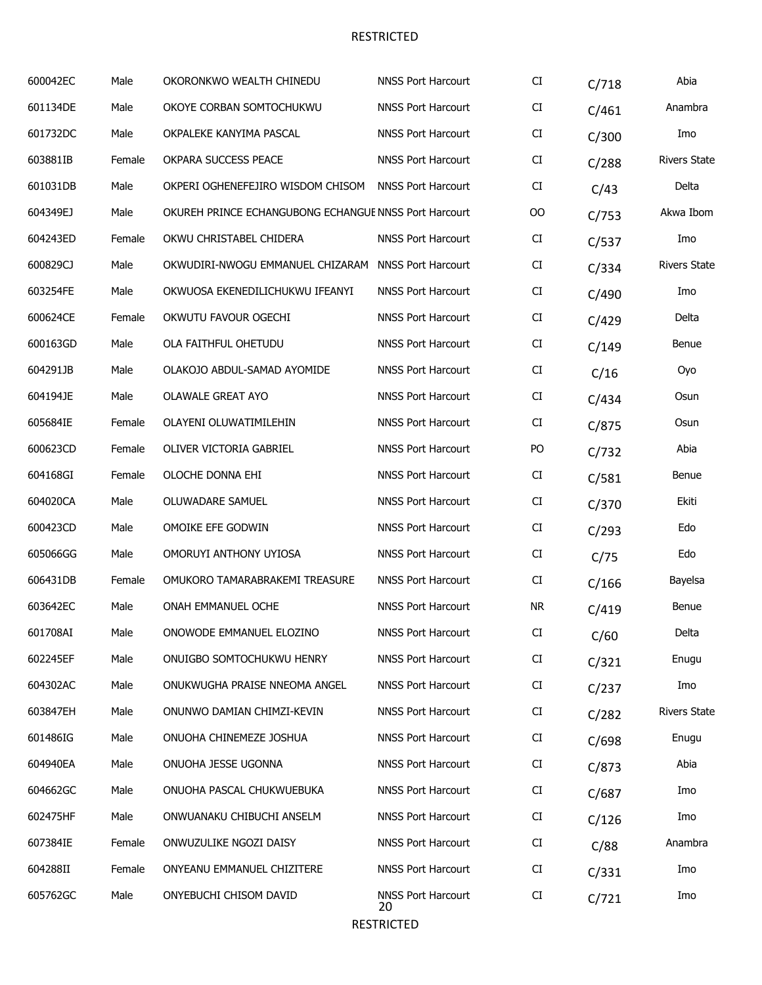| 600042EC | Male   | OKORONKWO WEALTH CHINEDU                              | <b>NNSS Port Harcourt</b>       | CI        | C/718 | Abia                |
|----------|--------|-------------------------------------------------------|---------------------------------|-----------|-------|---------------------|
| 601134DE | Male   | OKOYE CORBAN SOMTOCHUKWU                              | <b>NNSS Port Harcourt</b>       | CI        | C/461 | Anambra             |
| 601732DC | Male   | OKPALEKE KANYIMA PASCAL                               | <b>NNSS Port Harcourt</b>       | CI        | C/300 | Imo                 |
| 603881IB | Female | OKPARA SUCCESS PEACE                                  | <b>NNSS Port Harcourt</b>       | CI        | C/288 | <b>Rivers State</b> |
| 601031DB | Male   | OKPERI OGHENEFEJIRO WISDOM CHISOM                     | <b>NNSS Port Harcourt</b>       | CI        | C/43  | Delta               |
| 604349EJ | Male   | OKUREH PRINCE ECHANGUBONG ECHANGUE NNSS Port Harcourt |                                 | OO        | C/753 | Akwa Ibom           |
| 604243ED | Female | OKWU CHRISTABEL CHIDERA                               | <b>NNSS Port Harcourt</b>       | CI        | C/537 | Imo                 |
| 600829CJ | Male   | OKWUDIRI-NWOGU EMMANUEL CHIZARAM NNSS Port Harcourt   |                                 | CI        | C/334 | <b>Rivers State</b> |
| 603254FE | Male   | OKWUOSA EKENEDILICHUKWU IFEANYI                       | <b>NNSS Port Harcourt</b>       | CI        | C/490 | Imo                 |
| 600624CE | Female | OKWUTU FAVOUR OGECHI                                  | <b>NNSS Port Harcourt</b>       | CI        | C/429 | Delta               |
| 600163GD | Male   | OLA FAITHFUL OHETUDU                                  | <b>NNSS Port Harcourt</b>       | CI        | C/149 | Benue               |
| 604291JB | Male   | OLAKOJO ABDUL-SAMAD AYOMIDE                           | <b>NNSS Port Harcourt</b>       | CI        | C/16  | Oyo                 |
| 604194JE | Male   | <b>OLAWALE GREAT AYO</b>                              | <b>NNSS Port Harcourt</b>       | CI        | C/434 | Osun                |
| 605684IE | Female | OLAYENI OLUWATIMILEHIN                                | <b>NNSS Port Harcourt</b>       | CI        | C/875 | Osun                |
| 600623CD | Female | OLIVER VICTORIA GABRIEL                               | <b>NNSS Port Harcourt</b>       | PO        | C/732 | Abia                |
| 604168GI | Female | OLOCHE DONNA EHI                                      | <b>NNSS Port Harcourt</b>       | CI        | C/581 | Benue               |
| 604020CA | Male   | OLUWADARE SAMUEL                                      | <b>NNSS Port Harcourt</b>       | CI        | C/370 | Ekiti               |
| 600423CD | Male   | OMOIKE EFE GODWIN                                     | <b>NNSS Port Harcourt</b>       | CI        | C/293 | Edo                 |
| 605066GG | Male   | OMORUYI ANTHONY UYIOSA                                | <b>NNSS Port Harcourt</b>       | CI        | C/75  | Edo                 |
| 606431DB | Female | OMUKORO TAMARABRAKEMI TREASURE                        | <b>NNSS Port Harcourt</b>       | CI        | C/166 | Bayelsa             |
| 603642EC | Male   | ONAH EMMANUEL OCHE                                    | <b>NNSS Port Harcourt</b>       | <b>NR</b> | C/419 | Benue               |
| 601708AI | Male   | ONOWODE EMMANUEL ELOZINO                              | <b>NNSS Port Harcourt</b>       | CI        | C/60  | Delta               |
| 602245EF | Male   | ONUIGBO SOMTOCHUKWU HENRY                             | <b>NNSS Port Harcourt</b>       | CI        | C/321 | Enugu               |
| 604302AC | Male   | ONUKWUGHA PRAISE NNEOMA ANGEL                         | <b>NNSS Port Harcourt</b>       | CI        | C/237 | Imo                 |
| 603847EH | Male   | ONUNWO DAMIAN CHIMZI-KEVIN                            | <b>NNSS Port Harcourt</b>       | CI        | C/282 | <b>Rivers State</b> |
| 601486IG | Male   | ONUOHA CHINEMEZE JOSHUA                               | <b>NNSS Port Harcourt</b>       | CI        | C/698 | Enugu               |
| 604940EA | Male   | ONUOHA JESSE UGONNA                                   | <b>NNSS Port Harcourt</b>       | CI        | C/873 | Abia                |
| 604662GC | Male   | ONUOHA PASCAL CHUKWUEBUKA                             | <b>NNSS Port Harcourt</b>       | CI        | C/687 | Imo                 |
| 602475HF | Male   | ONWUANAKU CHIBUCHI ANSELM                             | <b>NNSS Port Harcourt</b>       | CI        | C/126 | Imo                 |
| 607384IE | Female | ONWUZULIKE NGOZI DAISY                                | <b>NNSS Port Harcourt</b>       | CI        | C/88  | Anambra             |
| 604288II | Female | ONYEANU EMMANUEL CHIZITERE                            | <b>NNSS Port Harcourt</b>       | CI        | C/331 | Imo                 |
| 605762GC | Male   | ONYEBUCHI CHISOM DAVID                                | <b>NNSS Port Harcourt</b><br>20 | CI        | C/721 | Imo                 |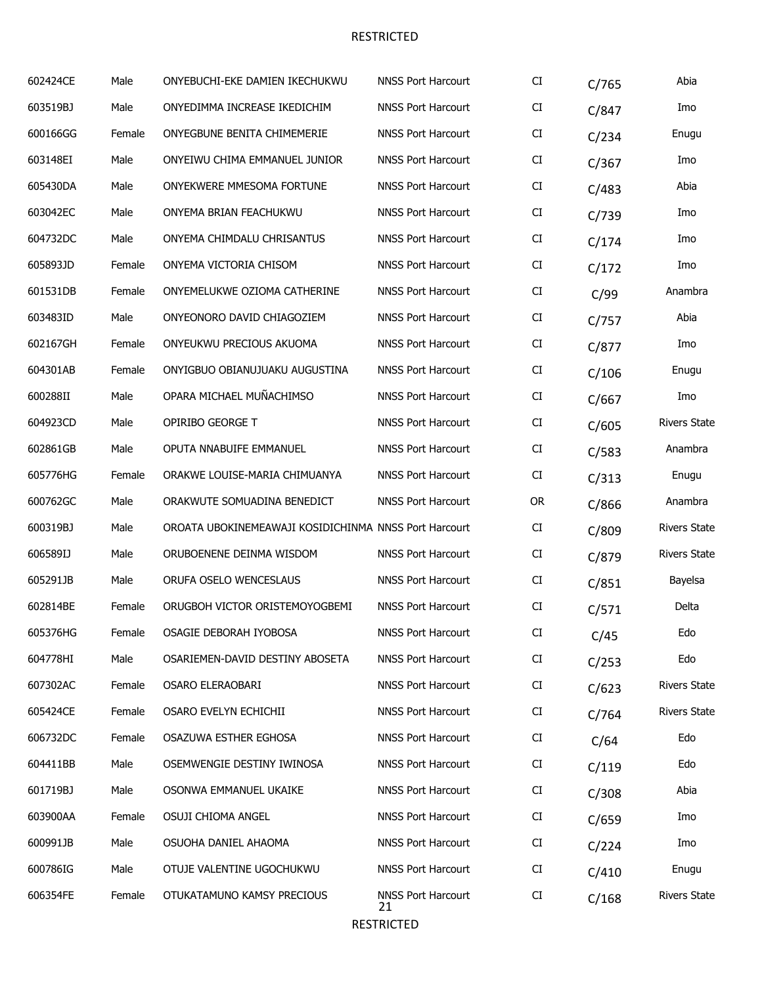| 602424CE | Male   | ONYEBUCHI-EKE DAMIEN IKECHUKWU                        | <b>NNSS Port Harcourt</b>       | CI        | C/765 | Abia                |
|----------|--------|-------------------------------------------------------|---------------------------------|-----------|-------|---------------------|
| 603519BJ | Male   | ONYEDIMMA INCREASE IKEDICHIM                          | <b>NNSS Port Harcourt</b>       | CI        | C/847 | Imo                 |
| 600166GG | Female | ONYEGBUNE BENITA CHIMEMERIE                           | <b>NNSS Port Harcourt</b>       | CI        | C/234 | Enugu               |
| 603148EI | Male   | ONYEIWU CHIMA EMMANUEL JUNIOR                         | <b>NNSS Port Harcourt</b>       | CI        | C/367 | Imo                 |
| 605430DA | Male   | ONYEKWERE MMESOMA FORTUNE                             | <b>NNSS Port Harcourt</b>       | CI        | C/483 | Abia                |
| 603042EC | Male   | ONYEMA BRIAN FEACHUKWU                                | <b>NNSS Port Harcourt</b>       | CI        | C/739 | Imo                 |
| 604732DC | Male   | ONYEMA CHIMDALU CHRISANTUS                            | <b>NNSS Port Harcourt</b>       | CI        | C/174 | Imo                 |
| 605893JD | Female | ONYEMA VICTORIA CHISOM                                | <b>NNSS Port Harcourt</b>       | CI        | C/172 | Imo                 |
| 601531DB | Female | ONYEMELUKWE OZIOMA CATHERINE                          | <b>NNSS Port Harcourt</b>       | CI        | C/99  | Anambra             |
| 603483ID | Male   | ONYEONORO DAVID CHIAGOZIEM                            | <b>NNSS Port Harcourt</b>       | CI        | C/757 | Abia                |
| 602167GH | Female | ONYEUKWU PRECIOUS AKUOMA                              | <b>NNSS Port Harcourt</b>       | CI        | C/877 | Imo                 |
| 604301AB | Female | ONYIGBUO OBIANUJUAKU AUGUSTINA                        | <b>NNSS Port Harcourt</b>       | CI        | C/106 | Enugu               |
| 600288II | Male   | OPARA MICHAEL MUÑACHIMSO                              | <b>NNSS Port Harcourt</b>       | CI        | C/667 | Imo                 |
| 604923CD | Male   | OPIRIBO GEORGE T                                      | <b>NNSS Port Harcourt</b>       | CI        | C/605 | <b>Rivers State</b> |
| 602861GB | Male   | OPUTA NNABUIFE EMMANUEL                               | <b>NNSS Port Harcourt</b>       | CI        | C/583 | Anambra             |
| 605776HG | Female | ORAKWE LOUISE-MARIA CHIMUANYA                         | <b>NNSS Port Harcourt</b>       | CI        | C/313 | Enugu               |
| 600762GC | Male   | ORAKWUTE SOMUADINA BENEDICT                           | <b>NNSS Port Harcourt</b>       | <b>OR</b> | C/866 | Anambra             |
| 600319BJ | Male   | OROATA UBOKINEMEAWAJI KOSIDICHINMA NNSS Port Harcourt |                                 | CI        | C/809 | <b>Rivers State</b> |
| 606589IJ | Male   | ORUBOENENE DEINMA WISDOM                              | <b>NNSS Port Harcourt</b>       | CI        | C/879 | <b>Rivers State</b> |
| 605291JB | Male   | ORUFA OSELO WENCESLAUS                                | <b>NNSS Port Harcourt</b>       | CI        | C/851 | Bayelsa             |
| 602814BE | Female | ORUGBOH VICTOR ORISTEMOYOGBEMI                        | <b>NNSS Port Harcourt</b>       | CI        | C/571 | Delta               |
| 605376HG | Female | OSAGIE DEBORAH IYOBOSA                                | <b>NNSS Port Harcourt</b>       | CI        | C/45  | Edo                 |
| 604778HI | Male   | OSARIEMEN-DAVID DESTINY ABOSETA                       | <b>NNSS Port Harcourt</b>       | CI        | C/253 | Edo                 |
| 607302AC | Female | OSARO ELERAOBARI                                      | <b>NNSS Port Harcourt</b>       | CI        | C/623 | <b>Rivers State</b> |
| 605424CE | Female | OSARO EVELYN ECHICHII                                 | <b>NNSS Port Harcourt</b>       | CI        | C/764 | <b>Rivers State</b> |
| 606732DC | Female | OSAZUWA ESTHER EGHOSA                                 | <b>NNSS Port Harcourt</b>       | CI        | C/64  | Edo                 |
| 604411BB | Male   | OSEMWENGIE DESTINY IWINOSA                            | <b>NNSS Port Harcourt</b>       | CI        | C/119 | Edo                 |
| 601719BJ | Male   | OSONWA EMMANUEL UKAIKE                                | <b>NNSS Port Harcourt</b>       | CI        | C/308 | Abia                |
| 603900AA | Female | OSUJI CHIOMA ANGEL                                    | <b>NNSS Port Harcourt</b>       | CI        | C/659 | Imo                 |
| 600991JB | Male   | OSUOHA DANIEL AHAOMA                                  | <b>NNSS Port Harcourt</b>       | CI        | C/224 | Imo                 |
| 600786IG | Male   | OTUJE VALENTINE UGOCHUKWU                             | <b>NNSS Port Harcourt</b>       | CI        | C/410 | Enugu               |
| 606354FE | Female | OTUKATAMUNO KAMSY PRECIOUS                            | <b>NNSS Port Harcourt</b><br>21 | CI        | C/168 | <b>Rivers State</b> |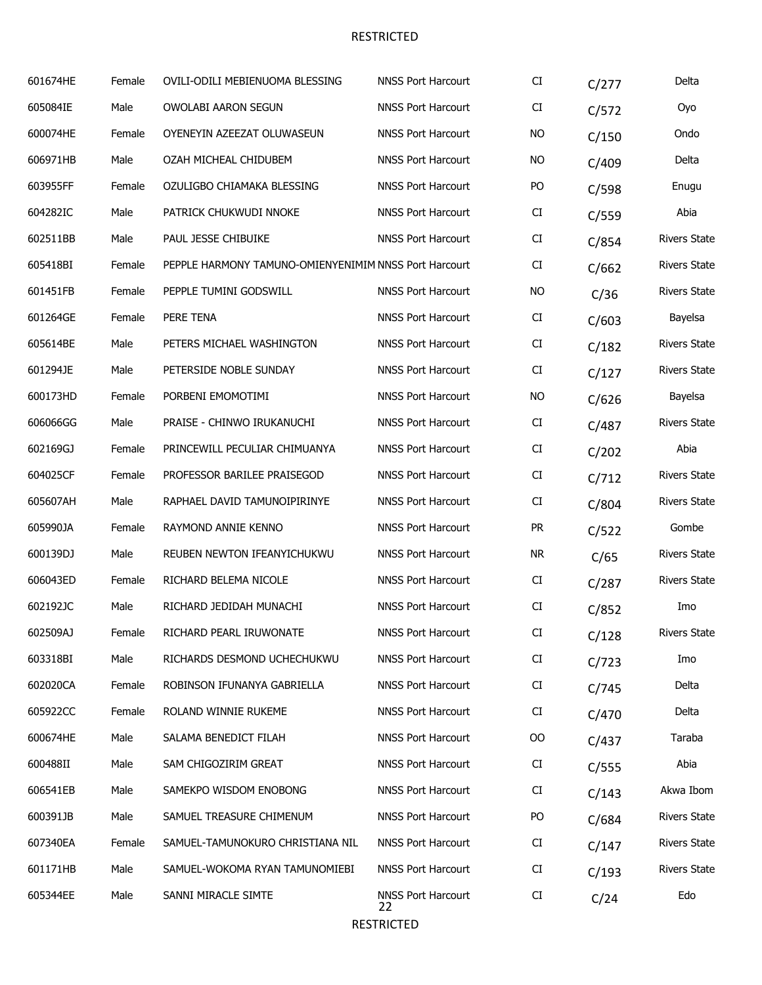| 601674HE | Female | OVILI-ODILI MEBIENUOMA BLESSING                       | <b>NNSS Port Harcourt</b>       | CI        | C/277 | Delta               |
|----------|--------|-------------------------------------------------------|---------------------------------|-----------|-------|---------------------|
| 605084IE | Male   | OWOLABI AARON SEGUN                                   | <b>NNSS Port Harcourt</b>       | CI        | C/572 | Oyo                 |
| 600074HE | Female | OYENEYIN AZEEZAT OLUWASEUN                            | <b>NNSS Port Harcourt</b>       | <b>NO</b> | C/150 | Ondo                |
| 606971HB | Male   | OZAH MICHEAL CHIDUBEM                                 | <b>NNSS Port Harcourt</b>       | <b>NO</b> | C/409 | Delta               |
| 603955FF | Female | OZULIGBO CHIAMAKA BLESSING                            | <b>NNSS Port Harcourt</b>       | PO        | C/598 | Enugu               |
| 604282IC | Male   | PATRICK CHUKWUDI NNOKE                                | <b>NNSS Port Harcourt</b>       | CI        | C/559 | Abia                |
| 602511BB | Male   | PAUL JESSE CHIBUIKE                                   | <b>NNSS Port Harcourt</b>       | CI        | C/854 | <b>Rivers State</b> |
| 605418BI | Female | PEPPLE HARMONY TAMUNO-OMIENYENIMIM NNSS Port Harcourt |                                 | CI        | C/662 | <b>Rivers State</b> |
| 601451FB | Female | PEPPLE TUMINI GODSWILL                                | <b>NNSS Port Harcourt</b>       | <b>NO</b> | C/36  | <b>Rivers State</b> |
| 601264GE | Female | PERE TENA                                             | <b>NNSS Port Harcourt</b>       | CI        | C/603 | Bayelsa             |
| 605614BE | Male   | PETERS MICHAEL WASHINGTON                             | <b>NNSS Port Harcourt</b>       | CI        | C/182 | <b>Rivers State</b> |
| 601294JE | Male   | PETERSIDE NOBLE SUNDAY                                | <b>NNSS Port Harcourt</b>       | CI        | C/127 | <b>Rivers State</b> |
| 600173HD | Female | PORBENI EMOMOTIMI                                     | <b>NNSS Port Harcourt</b>       | <b>NO</b> | C/626 | Bayelsa             |
| 606066GG | Male   | PRAISE - CHINWO IRUKANUCHI                            | <b>NNSS Port Harcourt</b>       | CI        | C/487 | <b>Rivers State</b> |
| 602169GJ | Female | PRINCEWILL PECULIAR CHIMUANYA                         | <b>NNSS Port Harcourt</b>       | CI        | C/202 | Abia                |
| 604025CF | Female | PROFESSOR BARILEE PRAISEGOD                           | <b>NNSS Port Harcourt</b>       | CI        | C/712 | <b>Rivers State</b> |
| 605607AH | Male   | RAPHAEL DAVID TAMUNOIPIRINYE                          | <b>NNSS Port Harcourt</b>       | CI        | C/804 | <b>Rivers State</b> |
| 605990JA | Female | RAYMOND ANNIE KENNO                                   | <b>NNSS Port Harcourt</b>       | <b>PR</b> | C/522 | Gombe               |
| 600139DJ | Male   | REUBEN NEWTON IFEANYICHUKWU                           | <b>NNSS Port Harcourt</b>       | <b>NR</b> | C/65  | <b>Rivers State</b> |
| 606043ED | Female | RICHARD BELEMA NICOLE                                 | <b>NNSS Port Harcourt</b>       | CI        | C/287 | <b>Rivers State</b> |
| 602192JC | Male   | RICHARD JEDIDAH MUNACHI                               | <b>NNSS Port Harcourt</b>       | CI        | C/852 | Imo                 |
| 602509AJ | Female | RICHARD PEARL IRUWONATE                               | <b>NNSS Port Harcourt</b>       | CI.       | C/128 | <b>Rivers State</b> |
| 603318BI | Male   | RICHARDS DESMOND UCHECHUKWU                           | <b>NNSS Port Harcourt</b>       | CI        | C/723 | Imo                 |
| 602020CA | Female | ROBINSON IFUNANYA GABRIELLA                           | <b>NNSS Port Harcourt</b>       | CI        | C/745 | Delta               |
| 605922CC | Female | ROLAND WINNIE RUKEME                                  | <b>NNSS Port Harcourt</b>       | CI        | C/470 | Delta               |
| 600674HE | Male   | SALAMA BENEDICT FILAH                                 | <b>NNSS Port Harcourt</b>       | 00        | C/437 | Taraba              |
| 600488II | Male   | SAM CHIGOZIRIM GREAT                                  | <b>NNSS Port Harcourt</b>       | CI        | C/555 | Abia                |
| 606541EB | Male   | SAMEKPO WISDOM ENOBONG                                | <b>NNSS Port Harcourt</b>       | CI        | C/143 | Akwa Ibom           |
| 600391JB | Male   | SAMUEL TREASURE CHIMENUM                              | <b>NNSS Port Harcourt</b>       | PO        | C/684 | <b>Rivers State</b> |
| 607340EA | Female | SAMUEL-TAMUNOKURO CHRISTIANA NIL                      | <b>NNSS Port Harcourt</b>       | CI        | C/147 | <b>Rivers State</b> |
| 601171HB | Male   | SAMUEL-WOKOMA RYAN TAMUNOMIEBI                        | <b>NNSS Port Harcourt</b>       | CI        | C/193 | <b>Rivers State</b> |
| 605344EE | Male   | SANNI MIRACLE SIMTE                                   | <b>NNSS Port Harcourt</b><br>22 | CI        | C/24  | Edo                 |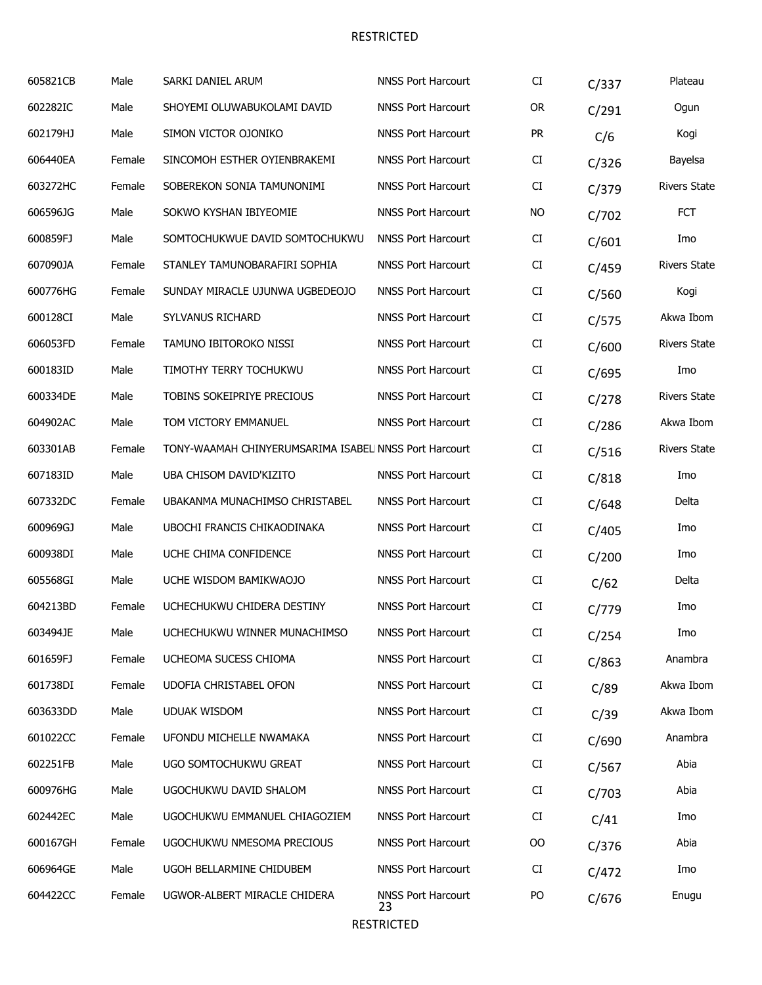| 605821CB | Male   | SARKI DANIEL ARUM                                     | <b>NNSS Port Harcourt</b>       | CI         | C/337 | Plateau             |
|----------|--------|-------------------------------------------------------|---------------------------------|------------|-------|---------------------|
| 602282IC | Male   | SHOYEMI OLUWABUKOLAMI DAVID                           | <b>NNSS Port Harcourt</b>       | <b>OR</b>  | C/291 | Ogun                |
| 602179HJ | Male   | SIMON VICTOR OJONIKO                                  | <b>NNSS Port Harcourt</b>       | <b>PR</b>  | C/6   | Kogi                |
| 606440EA | Female | SINCOMOH ESTHER OYIENBRAKEMI                          | <b>NNSS Port Harcourt</b>       | CI         | C/326 | Bayelsa             |
| 603272HC | Female | SOBEREKON SONIA TAMUNONIMI                            | <b>NNSS Port Harcourt</b>       | ${\rm CI}$ | C/379 | <b>Rivers State</b> |
| 606596JG | Male   | SOKWO KYSHAN IBIYEOMIE                                | <b>NNSS Port Harcourt</b>       | NO         | C/702 | <b>FCT</b>          |
| 600859FJ | Male   | SOMTOCHUKWUE DAVID SOMTOCHUKWU                        | <b>NNSS Port Harcourt</b>       | CI         | C/601 | Imo                 |
| 607090JA | Female | STANLEY TAMUNOBARAFIRI SOPHIA                         | <b>NNSS Port Harcourt</b>       | CI         | C/459 | <b>Rivers State</b> |
| 600776HG | Female | SUNDAY MIRACLE UJUNWA UGBEDEOJO                       | <b>NNSS Port Harcourt</b>       | ${\rm CI}$ | C/560 | Kogi                |
| 600128CI | Male   | SYLVANUS RICHARD                                      | <b>NNSS Port Harcourt</b>       | CI         | C/575 | Akwa Ibom           |
| 606053FD | Female | TAMUNO IBITOROKO NISSI                                | <b>NNSS Port Harcourt</b>       | CI         | C/600 | <b>Rivers State</b> |
| 600183ID | Male   | TIMOTHY TERRY TOCHUKWU                                | <b>NNSS Port Harcourt</b>       | CI         | C/695 | Imo                 |
| 600334DE | Male   | TOBINS SOKEIPRIYE PRECIOUS                            | <b>NNSS Port Harcourt</b>       | CI         | C/278 | <b>Rivers State</b> |
| 604902AC | Male   | TOM VICTORY EMMANUEL                                  | <b>NNSS Port Harcourt</b>       | CI         | C/286 | Akwa Ibom           |
| 603301AB | Female | TONY-WAAMAH CHINYERUMSARIMA ISABEL NNSS Port Harcourt |                                 | CI         | C/516 | <b>Rivers State</b> |
| 607183ID | Male   | UBA CHISOM DAVID'KIZITO                               | <b>NNSS Port Harcourt</b>       | CI         | C/818 | Imo                 |
| 607332DC | Female | UBAKANMA MUNACHIMSO CHRISTABEL                        | <b>NNSS Port Harcourt</b>       | CI         | C/648 | Delta               |
| 600969GJ | Male   | UBOCHI FRANCIS CHIKAODINAKA                           | <b>NNSS Port Harcourt</b>       | CI         | C/405 | Imo                 |
| 600938DI | Male   | UCHE CHIMA CONFIDENCE                                 | <b>NNSS Port Harcourt</b>       | CI         | C/200 | Imo                 |
| 605568GI | Male   | UCHE WISDOM BAMIKWAOJO                                | <b>NNSS Port Harcourt</b>       | CI         | C/62  | Delta               |
| 604213BD | Female | UCHECHUKWU CHIDERA DESTINY                            | <b>NNSS Port Harcourt</b>       | CI         | C/779 | Imo                 |
| 603494JE | Male   | UCHECHUKWU WINNER MUNACHIMSO                          | <b>NNSS Port Harcourt</b>       | CI         | C/254 | Imo                 |
| 601659FJ | Female | UCHEOMA SUCESS CHIOMA                                 | <b>NNSS Port Harcourt</b>       | CI         | C/863 | Anambra             |
| 601738DI | Female | UDOFIA CHRISTABEL OFON                                | <b>NNSS Port Harcourt</b>       | CI         | C/89  | Akwa Ibom           |
| 603633DD | Male   | <b>UDUAK WISDOM</b>                                   | <b>NNSS Port Harcourt</b>       | CI         | C/39  | Akwa Ibom           |
| 601022CC | Female | UFONDU MICHELLE NWAMAKA                               | <b>NNSS Port Harcourt</b>       | CI         | C/690 | Anambra             |
| 602251FB | Male   | UGO SOMTOCHUKWU GREAT                                 | <b>NNSS Port Harcourt</b>       | CI         | C/567 | Abia                |
| 600976HG | Male   | UGOCHUKWU DAVID SHALOM                                | <b>NNSS Port Harcourt</b>       | CI         | C/703 | Abia                |
| 602442EC | Male   | UGOCHUKWU EMMANUEL CHIAGOZIEM                         | <b>NNSS Port Harcourt</b>       | CI         | C/41  | Imo                 |
| 600167GH | Female | UGOCHUKWU NMESOMA PRECIOUS                            | <b>NNSS Port Harcourt</b>       | $00\,$     | C/376 | Abia                |
| 606964GE | Male   | UGOH BELLARMINE CHIDUBEM                              | <b>NNSS Port Harcourt</b>       | CI         | C/472 | Imo                 |
| 604422CC | Female | UGWOR-ALBERT MIRACLE CHIDERA                          | <b>NNSS Port Harcourt</b><br>23 | PO         | C/676 | Enugu               |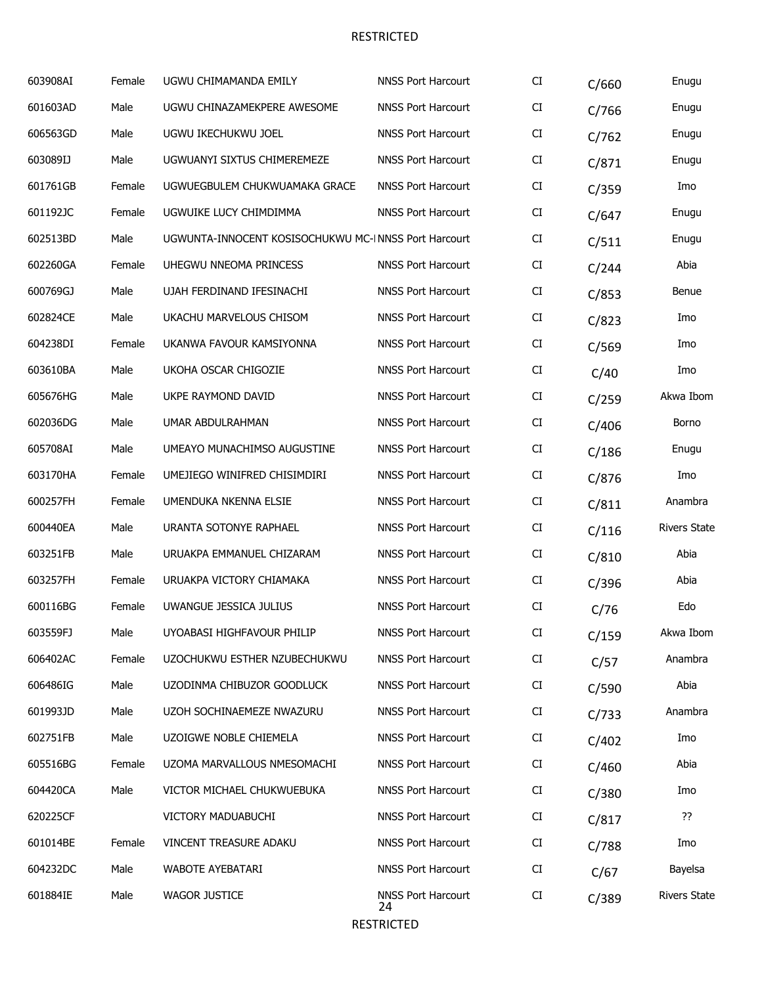| 603908AI | Female | UGWU CHIMAMANDA EMILY                                | <b>NNSS Port Harcourt</b>       | CI                         | C/660 | Enugu               |
|----------|--------|------------------------------------------------------|---------------------------------|----------------------------|-------|---------------------|
| 601603AD | Male   | UGWU CHINAZAMEKPERE AWESOME                          | <b>NNSS Port Harcourt</b>       | CI                         | C/766 | Enugu               |
| 606563GD | Male   | UGWU IKECHUKWU JOEL                                  | <b>NNSS Port Harcourt</b>       | CI                         | C/762 | Enugu               |
| 603089IJ | Male   | UGWUANYI SIXTUS CHIMEREMEZE                          | <b>NNSS Port Harcourt</b>       | CI                         | C/871 | Enugu               |
| 601761GB | Female | UGWUEGBULEM CHUKWUAMAKA GRACE                        | <b>NNSS Port Harcourt</b>       | CI                         | C/359 | Imo                 |
| 601192JC | Female | UGWUIKE LUCY CHIMDIMMA                               | <b>NNSS Port Harcourt</b>       | CI                         | C/647 | Enugu               |
| 602513BD | Male   | UGWUNTA-INNOCENT KOSISOCHUKWU MC-INNSS Port Harcourt |                                 | CI                         | C/511 | Enugu               |
| 602260GA | Female | UHEGWU NNEOMA PRINCESS                               | <b>NNSS Port Harcourt</b>       | CI                         | C/244 | Abia                |
| 600769GJ | Male   | UJAH FERDINAND IFESINACHI                            | <b>NNSS Port Harcourt</b>       | CI                         | C/853 | Benue               |
| 602824CE | Male   | UKACHU MARVELOUS CHISOM                              | <b>NNSS Port Harcourt</b>       | CI                         | C/823 | Imo                 |
| 604238DI | Female | UKANWA FAVOUR KAMSIYONNA                             | <b>NNSS Port Harcourt</b>       | CI                         | C/569 | Imo                 |
| 603610BA | Male   | UKOHA OSCAR CHIGOZIE                                 | <b>NNSS Port Harcourt</b>       | CI                         | C/40  | Imo                 |
| 605676HG | Male   | UKPE RAYMOND DAVID                                   | <b>NNSS Port Harcourt</b>       | CI                         | C/259 | Akwa Ibom           |
| 602036DG | Male   | UMAR ABDULRAHMAN                                     | <b>NNSS Port Harcourt</b>       | CI                         | C/406 | Borno               |
| 605708AI | Male   | UMEAYO MUNACHIMSO AUGUSTINE                          | <b>NNSS Port Harcourt</b>       | CI                         | C/186 | Enugu               |
| 603170HA | Female | UMEJIEGO WINIFRED CHISIMDIRI                         | <b>NNSS Port Harcourt</b>       | CI                         | C/876 | Imo                 |
| 600257FH | Female | UMENDUKA NKENNA ELSIE                                | <b>NNSS Port Harcourt</b>       | CI                         | C/811 | Anambra             |
| 600440EA | Male   | URANTA SOTONYE RAPHAEL                               | <b>NNSS Port Harcourt</b>       | $\mathop{\rm CI}\nolimits$ | C/116 | <b>Rivers State</b> |
| 603251FB | Male   | URUAKPA EMMANUEL CHIZARAM                            | <b>NNSS Port Harcourt</b>       | CI                         | C/810 | Abia                |
| 603257FH | Female | URUAKPA VICTORY CHIAMAKA                             | <b>NNSS Port Harcourt</b>       | CI                         | C/396 | Abia                |
| 600116BG | Female | UWANGUE JESSICA JULIUS                               | <b>NNSS Port Harcourt</b>       | CI                         | C/76  | Edo                 |
| 603559FJ | Male   | UYOABASI HIGHFAVOUR PHILIP                           | <b>NNSS Port Harcourt</b>       | CI                         | C/159 | Akwa Ibom           |
| 606402AC | Female | UZOCHUKWU ESTHER NZUBECHUKWU                         | <b>NNSS Port Harcourt</b>       | CI                         | C/57  | Anambra             |
| 606486IG | Male   | UZODINMA CHIBUZOR GOODLUCK                           | <b>NNSS Port Harcourt</b>       | CI                         | C/590 | Abia                |
| 601993JD | Male   | UZOH SOCHINAEMEZE NWAZURU                            | <b>NNSS Port Harcourt</b>       | CI                         | C/733 | Anambra             |
| 602751FB | Male   | UZOIGWE NOBLE CHIEMELA                               | <b>NNSS Port Harcourt</b>       | CI                         | C/402 | Imo                 |
| 605516BG | Female | UZOMA MARVALLOUS NMESOMACHI                          | <b>NNSS Port Harcourt</b>       | CI                         | C/460 | Abia                |
| 604420CA | Male   | VICTOR MICHAEL CHUKWUEBUKA                           | <b>NNSS Port Harcourt</b>       | CI                         | C/380 | Imo                 |
| 620225CF |        | VICTORY MADUABUCHI                                   | <b>NNSS Port Harcourt</b>       | CI                         | C/817 | ??                  |
| 601014BE | Female | VINCENT TREASURE ADAKU                               | <b>NNSS Port Harcourt</b>       | CI                         | C/788 | Imo                 |
| 604232DC | Male   | WABOTE AYEBATARI                                     | <b>NNSS Port Harcourt</b>       | CI                         | C/67  | Bayelsa             |
| 601884IE | Male   | <b>WAGOR JUSTICE</b>                                 | <b>NNSS Port Harcourt</b><br>24 | CI                         | C/389 | <b>Rivers State</b> |